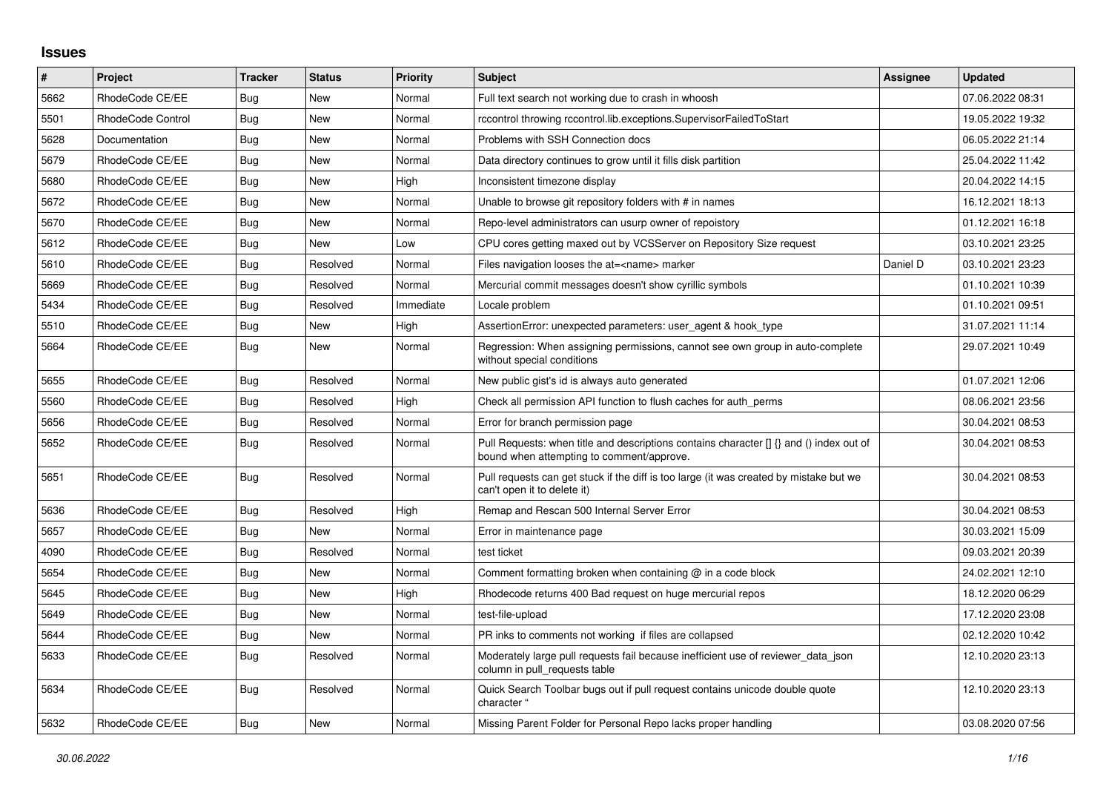## **Issues**

| #    | Project           | <b>Tracker</b> | <b>Status</b> | <b>Priority</b> | <b>Subject</b>                                                                                                                       | Assignee | <b>Updated</b>   |
|------|-------------------|----------------|---------------|-----------------|--------------------------------------------------------------------------------------------------------------------------------------|----------|------------------|
| 5662 | RhodeCode CE/EE   | Bug            | <b>New</b>    | Normal          | Full text search not working due to crash in whoosh                                                                                  |          | 07.06.2022 08:31 |
| 5501 | RhodeCode Control | Bug            | <b>New</b>    | Normal          | rccontrol throwing rccontrol.lib.exceptions.SupervisorFailedToStart                                                                  |          | 19.05.2022 19:32 |
| 5628 | Documentation     | Bug            | <b>New</b>    | Normal          | Problems with SSH Connection docs                                                                                                    |          | 06.05.2022 21:14 |
| 5679 | RhodeCode CE/EE   | Bug            | <b>New</b>    | Normal          | Data directory continues to grow until it fills disk partition                                                                       |          | 25.04.2022 11:42 |
| 5680 | RhodeCode CE/EE   | <b>Bug</b>     | <b>New</b>    | High            | Inconsistent timezone display                                                                                                        |          | 20.04.2022 14:15 |
| 5672 | RhodeCode CE/EE   | Bug            | <b>New</b>    | Normal          | Unable to browse git repository folders with # in names                                                                              |          | 16.12.2021 18:13 |
| 5670 | RhodeCode CE/EE   | Bug            | <b>New</b>    | Normal          | Repo-level administrators can usurp owner of repoistory                                                                              |          | 01.12.2021 16:18 |
| 5612 | RhodeCode CE/EE   | Bug            | <b>New</b>    | Low             | CPU cores getting maxed out by VCSServer on Repository Size request                                                                  |          | 03.10.2021 23:25 |
| 5610 | RhodeCode CE/EE   | Bug            | Resolved      | Normal          | Files navigation looses the at= <name> marker</name>                                                                                 | Daniel D | 03.10.2021 23:23 |
| 5669 | RhodeCode CE/EE   | Bug            | Resolved      | Normal          | Mercurial commit messages doesn't show cyrillic symbols                                                                              |          | 01.10.2021 10:39 |
| 5434 | RhodeCode CE/EE   | Bug            | Resolved      | Immediate       | Locale problem                                                                                                                       |          | 01.10.2021 09:51 |
| 5510 | RhodeCode CE/EE   | Bug            | <b>New</b>    | High            | AssertionError: unexpected parameters: user agent & hook type                                                                        |          | 31.07.2021 11:14 |
| 5664 | RhodeCode CE/EE   | <b>Bug</b>     | <b>New</b>    | Normal          | Regression: When assigning permissions, cannot see own group in auto-complete<br>without special conditions                          |          | 29.07.2021 10:49 |
| 5655 | RhodeCode CE/EE   | Bug            | Resolved      | Normal          | New public gist's id is always auto generated                                                                                        |          | 01.07.2021 12:06 |
| 5560 | RhodeCode CE/EE   | <b>Bug</b>     | Resolved      | High            | Check all permission API function to flush caches for auth_perms                                                                     |          | 08.06.2021 23:56 |
| 5656 | RhodeCode CE/EE   | <b>Bug</b>     | Resolved      | Normal          | Error for branch permission page                                                                                                     |          | 30.04.2021 08:53 |
| 5652 | RhodeCode CE/EE   | Bug            | Resolved      | Normal          | Pull Requests: when title and descriptions contains character [] {} and () index out of<br>bound when attempting to comment/approve. |          | 30.04.2021 08:53 |
| 5651 | RhodeCode CE/EE   | <b>Bug</b>     | Resolved      | Normal          | Pull requests can get stuck if the diff is too large (it was created by mistake but we<br>can't open it to delete it)                |          | 30.04.2021 08:53 |
| 5636 | RhodeCode CE/EE   | <b>Bug</b>     | Resolved      | High            | Remap and Rescan 500 Internal Server Error                                                                                           |          | 30.04.2021 08:53 |
| 5657 | RhodeCode CE/EE   | Bug            | <b>New</b>    | Normal          | Error in maintenance page                                                                                                            |          | 30.03.2021 15:09 |
| 4090 | RhodeCode CE/EE   | Bug            | Resolved      | Normal          | test ticket                                                                                                                          |          | 09.03.2021 20:39 |
| 5654 | RhodeCode CE/EE   | <b>Bug</b>     | <b>New</b>    | Normal          | Comment formatting broken when containing $@$ in a code block                                                                        |          | 24.02.2021 12:10 |
| 5645 | RhodeCode CE/EE   | Bug            | New           | High            | Rhodecode returns 400 Bad request on huge mercurial repos                                                                            |          | 18.12.2020 06:29 |
| 5649 | RhodeCode CE/EE   | Bug            | <b>New</b>    | Normal          | test-file-upload                                                                                                                     |          | 17.12.2020 23:08 |
| 5644 | RhodeCode CE/EE   | <b>Bug</b>     | New           | Normal          | PR inks to comments not working if files are collapsed                                                                               |          | 02.12.2020 10:42 |
| 5633 | RhodeCode CE/EE   | Bug            | Resolved      | Normal          | Moderately large pull requests fail because inefficient use of reviewer data json<br>column in pull requests table                   |          | 12.10.2020 23:13 |
| 5634 | RhodeCode CE/EE   | <b>Bug</b>     | Resolved      | Normal          | Quick Search Toolbar bugs out if pull request contains unicode double quote<br>character "                                           |          | 12.10.2020 23:13 |
| 5632 | RhodeCode CE/EE   | Bug            | <b>New</b>    | Normal          | Missing Parent Folder for Personal Repo lacks proper handling                                                                        |          | 03.08.2020 07:56 |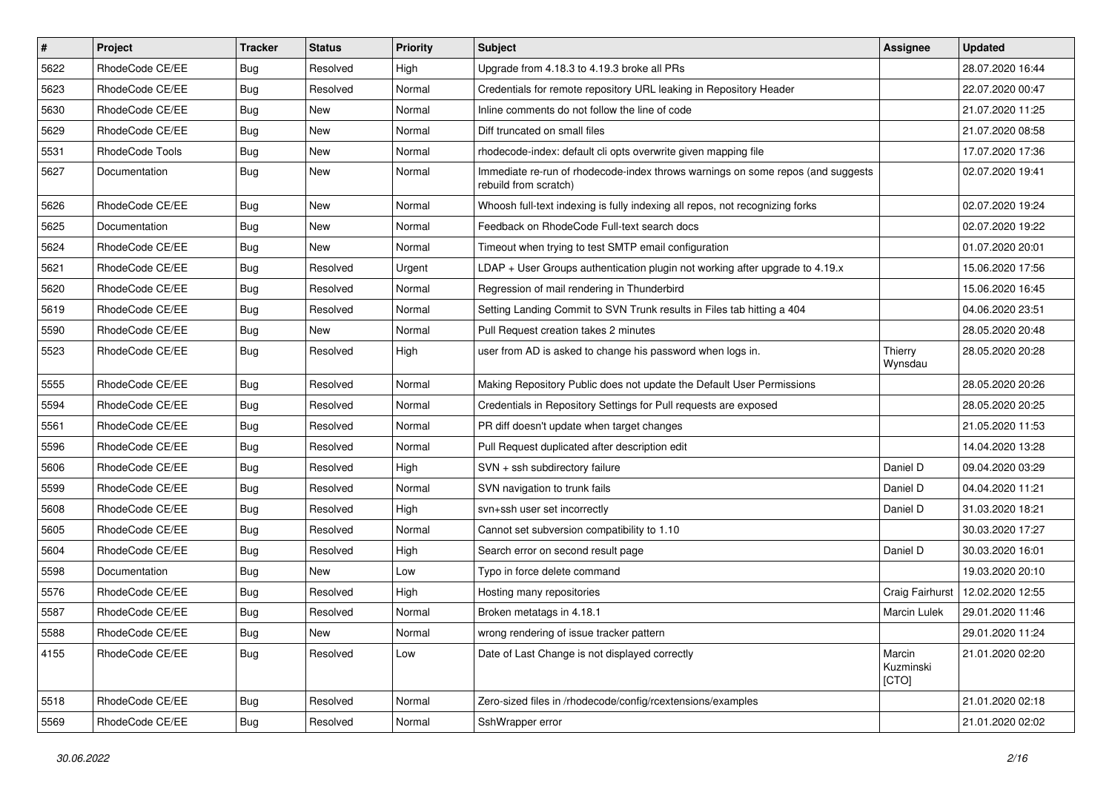| #    | Project         | <b>Tracker</b> | <b>Status</b> | <b>Priority</b> | <b>Subject</b>                                                                                           | Assignee                     | <b>Updated</b>   |
|------|-----------------|----------------|---------------|-----------------|----------------------------------------------------------------------------------------------------------|------------------------------|------------------|
| 5622 | RhodeCode CE/EE | Bug            | Resolved      | High            | Upgrade from 4.18.3 to 4.19.3 broke all PRs                                                              |                              | 28.07.2020 16:44 |
| 5623 | RhodeCode CE/EE | <b>Bug</b>     | Resolved      | Normal          | Credentials for remote repository URL leaking in Repository Header                                       |                              | 22.07.2020 00:47 |
| 5630 | RhodeCode CE/EE | Bug            | New           | Normal          | Inline comments do not follow the line of code                                                           |                              | 21.07.2020 11:25 |
| 5629 | RhodeCode CE/EE | Bug            | New           | Normal          | Diff truncated on small files                                                                            |                              | 21.07.2020 08:58 |
| 5531 | RhodeCode Tools | Bug            | New           | Normal          | rhodecode-index: default cli opts overwrite given mapping file                                           |                              | 17.07.2020 17:36 |
| 5627 | Documentation   | Bug            | New           | Normal          | Immediate re-run of rhodecode-index throws warnings on some repos (and suggests<br>rebuild from scratch) |                              | 02.07.2020 19:41 |
| 5626 | RhodeCode CE/EE | Bug            | New           | Normal          | Whoosh full-text indexing is fully indexing all repos, not recognizing forks                             |                              | 02.07.2020 19:24 |
| 5625 | Documentation   | <b>Bug</b>     | New           | Normal          | Feedback on RhodeCode Full-text search docs                                                              |                              | 02.07.2020 19:22 |
| 5624 | RhodeCode CE/EE | <b>Bug</b>     | <b>New</b>    | Normal          | Timeout when trying to test SMTP email configuration                                                     |                              | 01.07.2020 20:01 |
| 5621 | RhodeCode CE/EE | Bug            | Resolved      | Urgent          | $LDAP + User Groups authentication playing not working after upgrade to 4.19.x$                          |                              | 15.06.2020 17:56 |
| 5620 | RhodeCode CE/EE | Bug            | Resolved      | Normal          | Regression of mail rendering in Thunderbird                                                              |                              | 15.06.2020 16:45 |
| 5619 | RhodeCode CE/EE | Bug            | Resolved      | Normal          | Setting Landing Commit to SVN Trunk results in Files tab hitting a 404                                   |                              | 04.06.2020 23:51 |
| 5590 | RhodeCode CE/EE | Bug            | <b>New</b>    | Normal          | Pull Request creation takes 2 minutes                                                                    |                              | 28.05.2020 20:48 |
| 5523 | RhodeCode CE/EE | Bug            | Resolved      | High            | user from AD is asked to change his password when logs in.                                               | Thierry<br>Wynsdau           | 28.05.2020 20:28 |
| 5555 | RhodeCode CE/EE | Bug            | Resolved      | Normal          | Making Repository Public does not update the Default User Permissions                                    |                              | 28.05.2020 20:26 |
| 5594 | RhodeCode CE/EE | <b>Bug</b>     | Resolved      | Normal          | Credentials in Repository Settings for Pull requests are exposed                                         |                              | 28.05.2020 20:25 |
| 5561 | RhodeCode CE/EE | Bug            | Resolved      | Normal          | PR diff doesn't update when target changes                                                               |                              | 21.05.2020 11:53 |
| 5596 | RhodeCode CE/EE | Bug            | Resolved      | Normal          | Pull Request duplicated after description edit                                                           |                              | 14.04.2020 13:28 |
| 5606 | RhodeCode CE/EE | Bug            | Resolved      | High            | SVN + ssh subdirectory failure                                                                           | Daniel D                     | 09.04.2020 03:29 |
| 5599 | RhodeCode CE/EE | Bug            | Resolved      | Normal          | SVN navigation to trunk fails                                                                            | Daniel D                     | 04.04.2020 11:21 |
| 5608 | RhodeCode CE/EE | <b>Bug</b>     | Resolved      | High            | svn+ssh user set incorrectly                                                                             | Daniel D                     | 31.03.2020 18:21 |
| 5605 | RhodeCode CE/EE | Bug            | Resolved      | Normal          | Cannot set subversion compatibility to 1.10                                                              |                              | 30.03.2020 17:27 |
| 5604 | RhodeCode CE/EE | Bug            | Resolved      | High            | Search error on second result page                                                                       | Daniel D                     | 30.03.2020 16:01 |
| 5598 | Documentation   | Bug            | <b>New</b>    | Low             | Typo in force delete command                                                                             |                              | 19.03.2020 20:10 |
| 5576 | RhodeCode CE/EE | Bug            | Resolved      | High            | Hosting many repositories                                                                                | Craig Fairhurst              | 12.02.2020 12:55 |
| 5587 | RhodeCode CE/EE | Bug            | Resolved      | Normal          | Broken metatags in 4.18.1                                                                                | <b>Marcin Lulek</b>          | 29.01.2020 11:46 |
| 5588 | RhodeCode CE/EE | <b>Bug</b>     | New           | Normal          | wrong rendering of issue tracker pattern                                                                 |                              | 29.01.2020 11:24 |
| 4155 | RhodeCode CE/EE | Bug            | Resolved      | Low             | Date of Last Change is not displayed correctly                                                           | Marcin<br>Kuzminski<br>[CTO] | 21.01.2020 02:20 |
| 5518 | RhodeCode CE/EE | Bug            | Resolved      | Normal          | Zero-sized files in /rhodecode/config/rcextensions/examples                                              |                              | 21.01.2020 02:18 |
| 5569 | RhodeCode CE/EE | <b>Bug</b>     | Resolved      | Normal          | SshWrapper error                                                                                         |                              | 21.01.2020 02:02 |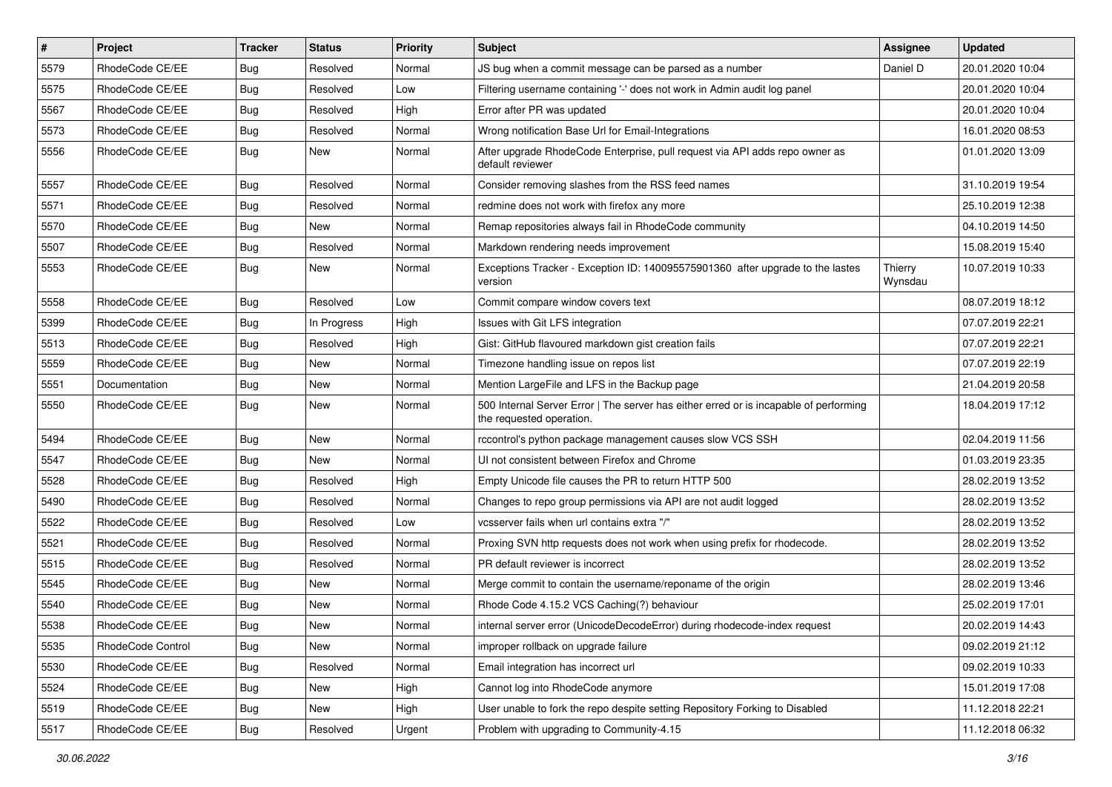| $\vert$ # | Project           | <b>Tracker</b> | <b>Status</b> | Priority | Subject                                                                                                           | <b>Assignee</b>    | <b>Updated</b>   |
|-----------|-------------------|----------------|---------------|----------|-------------------------------------------------------------------------------------------------------------------|--------------------|------------------|
| 5579      | RhodeCode CE/EE   | Bug            | Resolved      | Normal   | JS bug when a commit message can be parsed as a number                                                            | Daniel D           | 20.01.2020 10:04 |
| 5575      | RhodeCode CE/EE   | Bug            | Resolved      | Low      | Filtering username containing '-' does not work in Admin audit log panel                                          |                    | 20.01.2020 10:04 |
| 5567      | RhodeCode CE/EE   | Bug            | Resolved      | High     | Error after PR was updated                                                                                        |                    | 20.01.2020 10:04 |
| 5573      | RhodeCode CE/EE   | Bug            | Resolved      | Normal   | Wrong notification Base Url for Email-Integrations                                                                |                    | 16.01.2020 08:53 |
| 5556      | RhodeCode CE/EE   | Bug            | <b>New</b>    | Normal   | After upgrade RhodeCode Enterprise, pull request via API adds repo owner as<br>default reviewer                   |                    | 01.01.2020 13:09 |
| 5557      | RhodeCode CE/EE   | Bug            | Resolved      | Normal   | Consider removing slashes from the RSS feed names                                                                 |                    | 31.10.2019 19:54 |
| 5571      | RhodeCode CE/EE   | Bug            | Resolved      | Normal   | redmine does not work with firefox any more                                                                       |                    | 25.10.2019 12:38 |
| 5570      | RhodeCode CE/EE   | <b>Bug</b>     | New           | Normal   | Remap repositories always fail in RhodeCode community                                                             |                    | 04.10.2019 14:50 |
| 5507      | RhodeCode CE/EE   | Bug            | Resolved      | Normal   | Markdown rendering needs improvement                                                                              |                    | 15.08.2019 15:40 |
| 5553      | RhodeCode CE/EE   | Bug            | New           | Normal   | Exceptions Tracker - Exception ID: 140095575901360 after upgrade to the lastes<br>version                         | Thierry<br>Wynsdau | 10.07.2019 10:33 |
| 5558      | RhodeCode CE/EE   | Bug            | Resolved      | Low      | Commit compare window covers text                                                                                 |                    | 08.07.2019 18:12 |
| 5399      | RhodeCode CE/EE   | <b>Bug</b>     | In Progress   | High     | Issues with Git LFS integration                                                                                   |                    | 07.07.2019 22:21 |
| 5513      | RhodeCode CE/EE   | Bug            | Resolved      | High     | Gist: GitHub flavoured markdown gist creation fails                                                               |                    | 07.07.2019 22:21 |
| 5559      | RhodeCode CE/EE   | <b>Bug</b>     | <b>New</b>    | Normal   | Timezone handling issue on repos list                                                                             |                    | 07.07.2019 22:19 |
| 5551      | Documentation     | Bug            | New           | Normal   | Mention LargeFile and LFS in the Backup page                                                                      |                    | 21.04.2019 20:58 |
| 5550      | RhodeCode CE/EE   | Bug            | New           | Normal   | 500 Internal Server Error   The server has either erred or is incapable of performing<br>the requested operation. |                    | 18.04.2019 17:12 |
| 5494      | RhodeCode CE/EE   | Bug            | <b>New</b>    | Normal   | rccontrol's python package management causes slow VCS SSH                                                         |                    | 02.04.2019 11:56 |
| 5547      | RhodeCode CE/EE   | Bug            | <b>New</b>    | Normal   | UI not consistent between Firefox and Chrome                                                                      |                    | 01.03.2019 23:35 |
| 5528      | RhodeCode CE/EE   | Bug            | Resolved      | High     | Empty Unicode file causes the PR to return HTTP 500                                                               |                    | 28.02.2019 13:52 |
| 5490      | RhodeCode CE/EE   | Bug            | Resolved      | Normal   | Changes to repo group permissions via API are not audit logged                                                    |                    | 28.02.2019 13:52 |
| 5522      | RhodeCode CE/EE   | Bug            | Resolved      | Low      | vcsserver fails when url contains extra "/"                                                                       |                    | 28.02.2019 13:52 |
| 5521      | RhodeCode CE/EE   | <b>Bug</b>     | Resolved      | Normal   | Proxing SVN http requests does not work when using prefix for rhodecode.                                          |                    | 28.02.2019 13:52 |
| 5515      | RhodeCode CE/EE   | <b>Bug</b>     | Resolved      | Normal   | PR default reviewer is incorrect                                                                                  |                    | 28.02.2019 13:52 |
| 5545      | RhodeCode CE/EE   | Bug            | New           | Normal   | Merge commit to contain the username/reponame of the origin                                                       |                    | 28.02.2019 13:46 |
| 5540      | RhodeCode CE/EE   | Bug            | New           | Normal   | Rhode Code 4.15.2 VCS Caching(?) behaviour                                                                        |                    | 25.02.2019 17:01 |
| 5538      | RhodeCode CE/EE   | Bug            | New           | Normal   | internal server error (UnicodeDecodeError) during rhodecode-index request                                         |                    | 20.02.2019 14:43 |
| 5535      | RhodeCode Control | Bug            | New           | Normal   | improper rollback on upgrade failure                                                                              |                    | 09.02.2019 21:12 |
| 5530      | RhodeCode CE/EE   | Bug            | Resolved      | Normal   | Email integration has incorrect url                                                                               |                    | 09.02.2019 10:33 |
| 5524      | RhodeCode CE/EE   | <b>Bug</b>     | New           | High     | Cannot log into RhodeCode anymore                                                                                 |                    | 15.01.2019 17:08 |
| 5519      | RhodeCode CE/EE   | Bug            | New           | High     | User unable to fork the repo despite setting Repository Forking to Disabled                                       |                    | 11.12.2018 22:21 |
| 5517      | RhodeCode CE/EE   | <b>Bug</b>     | Resolved      | Urgent   | Problem with upgrading to Community-4.15                                                                          |                    | 11.12.2018 06:32 |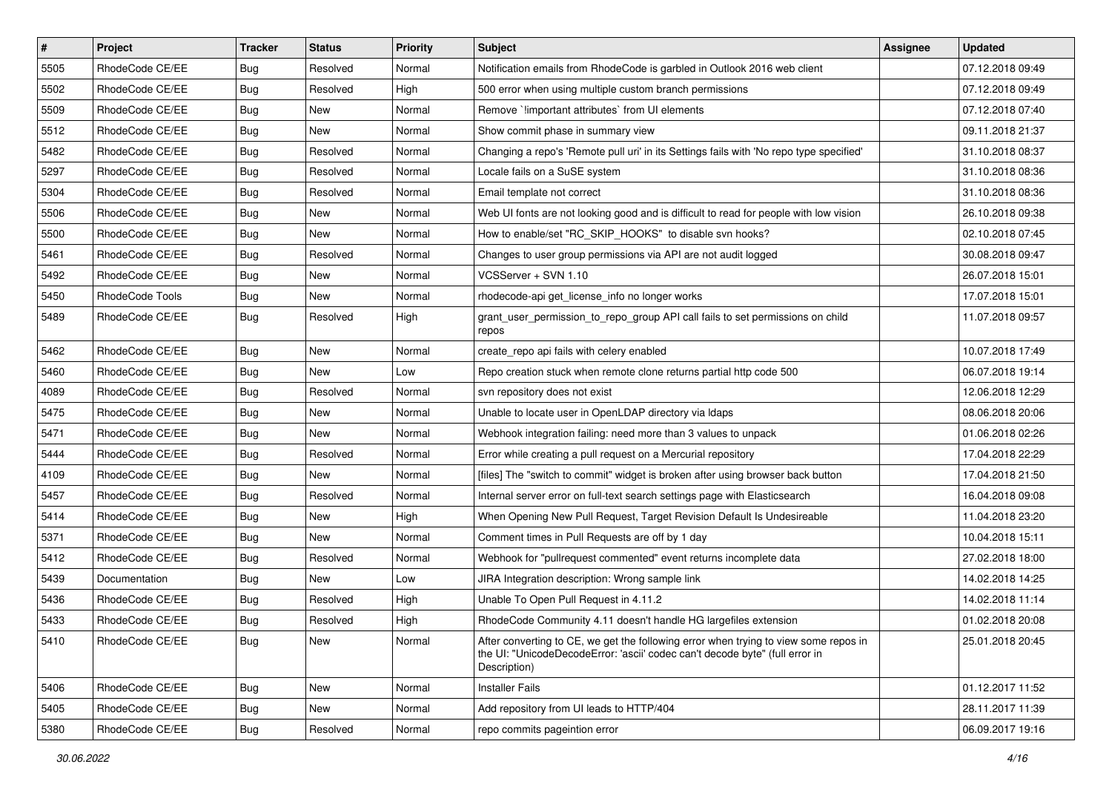| $\vert$ # | Project         | <b>Tracker</b> | <b>Status</b> | <b>Priority</b> | <b>Subject</b>                                                                                                                                                                       | <b>Assignee</b> | <b>Updated</b>   |
|-----------|-----------------|----------------|---------------|-----------------|--------------------------------------------------------------------------------------------------------------------------------------------------------------------------------------|-----------------|------------------|
| 5505      | RhodeCode CE/EE | <b>Bug</b>     | Resolved      | Normal          | Notification emails from RhodeCode is garbled in Outlook 2016 web client                                                                                                             |                 | 07.12.2018 09:49 |
| 5502      | RhodeCode CE/EE | Bug            | Resolved      | High            | 500 error when using multiple custom branch permissions                                                                                                                              |                 | 07.12.2018 09:49 |
| 5509      | RhodeCode CE/EE | Bug            | New           | Normal          | Remove `!important attributes` from UI elements                                                                                                                                      |                 | 07.12.2018 07:40 |
| 5512      | RhodeCode CE/EE | <b>Bug</b>     | New           | Normal          | Show commit phase in summary view                                                                                                                                                    |                 | 09.11.2018 21:37 |
| 5482      | RhodeCode CE/EE | Bug            | Resolved      | Normal          | Changing a repo's 'Remote pull uri' in its Settings fails with 'No repo type specified'                                                                                              |                 | 31.10.2018 08:37 |
| 5297      | RhodeCode CE/EE | Bug            | Resolved      | Normal          | Locale fails on a SuSE system                                                                                                                                                        |                 | 31.10.2018 08:36 |
| 5304      | RhodeCode CE/EE | <b>Bug</b>     | Resolved      | Normal          | Email template not correct                                                                                                                                                           |                 | 31.10.2018 08:36 |
| 5506      | RhodeCode CE/EE | Bug            | New           | Normal          | Web UI fonts are not looking good and is difficult to read for people with low vision                                                                                                |                 | 26.10.2018 09:38 |
| 5500      | RhodeCode CE/EE | Bug            | <b>New</b>    | Normal          | How to enable/set "RC_SKIP_HOOKS" to disable svn hooks?                                                                                                                              |                 | 02.10.2018 07:45 |
| 5461      | RhodeCode CE/EE | Bug            | Resolved      | Normal          | Changes to user group permissions via API are not audit logged                                                                                                                       |                 | 30.08.2018 09:47 |
| 5492      | RhodeCode CE/EE | Bug            | New           | Normal          | VCSServer + SVN 1.10                                                                                                                                                                 |                 | 26.07.2018 15:01 |
| 5450      | RhodeCode Tools | Bug            | New           | Normal          | rhodecode-api get_license_info no longer works                                                                                                                                       |                 | 17.07.2018 15:01 |
| 5489      | RhodeCode CE/EE | Bug            | Resolved      | High            | grant_user_permission_to_repo_group API call fails to set permissions on child<br>repos                                                                                              |                 | 11.07.2018 09:57 |
| 5462      | RhodeCode CE/EE | Bug            | <b>New</b>    | Normal          | create_repo api fails with celery enabled                                                                                                                                            |                 | 10.07.2018 17:49 |
| 5460      | RhodeCode CE/EE | Bug            | New           | Low             | Repo creation stuck when remote clone returns partial http code 500                                                                                                                  |                 | 06.07.2018 19:14 |
| 4089      | RhodeCode CE/EE | Bug            | Resolved      | Normal          | svn repository does not exist                                                                                                                                                        |                 | 12.06.2018 12:29 |
| 5475      | RhodeCode CE/EE | Bug            | <b>New</b>    | Normal          | Unable to locate user in OpenLDAP directory via Idaps                                                                                                                                |                 | 08.06.2018 20:06 |
| 5471      | RhodeCode CE/EE | Bug            | <b>New</b>    | Normal          | Webhook integration failing: need more than 3 values to unpack                                                                                                                       |                 | 01.06.2018 02:26 |
| 5444      | RhodeCode CE/EE | <b>Bug</b>     | Resolved      | Normal          | Error while creating a pull request on a Mercurial repository                                                                                                                        |                 | 17.04.2018 22:29 |
| 4109      | RhodeCode CE/EE | Bug            | New           | Normal          | [files] The "switch to commit" widget is broken after using browser back button                                                                                                      |                 | 17.04.2018 21:50 |
| 5457      | RhodeCode CE/EE | <b>Bug</b>     | Resolved      | Normal          | Internal server error on full-text search settings page with Elasticsearch                                                                                                           |                 | 16.04.2018 09:08 |
| 5414      | RhodeCode CE/EE | Bug            | New           | High            | When Opening New Pull Request, Target Revision Default Is Undesireable                                                                                                               |                 | 11.04.2018 23:20 |
| 5371      | RhodeCode CE/EE | Bug            | <b>New</b>    | Normal          | Comment times in Pull Requests are off by 1 day                                                                                                                                      |                 | 10.04.2018 15:11 |
| 5412      | RhodeCode CE/EE | Bug            | Resolved      | Normal          | Webhook for "pullrequest commented" event returns incomplete data                                                                                                                    |                 | 27.02.2018 18:00 |
| 5439      | Documentation   | Bug            | New           | Low             | JIRA Integration description: Wrong sample link                                                                                                                                      |                 | 14.02.2018 14:25 |
| 5436      | RhodeCode CE/EE | Bug            | Resolved      | High            | Unable To Open Pull Request in 4.11.2                                                                                                                                                |                 | 14.02.2018 11:14 |
| 5433      | RhodeCode CE/EE | <b>Bug</b>     | Resolved      | High            | RhodeCode Community 4.11 doesn't handle HG largefiles extension                                                                                                                      |                 | 01.02.2018 20:08 |
| 5410      | RhodeCode CE/EE | <b>Bug</b>     | New           | Normal          | After converting to CE, we get the following error when trying to view some repos in<br>the UI: "UnicodeDecodeError: 'ascii' codec can't decode byte" (full error in<br>Description) |                 | 25.01.2018 20:45 |
| 5406      | RhodeCode CE/EE | Bug            | New           | Normal          | <b>Installer Fails</b>                                                                                                                                                               |                 | 01.12.2017 11:52 |
| 5405      | RhodeCode CE/EE | Bug            | New           | Normal          | Add repository from UI leads to HTTP/404                                                                                                                                             |                 | 28.11.2017 11:39 |
| 5380      | RhodeCode CE/EE | <b>Bug</b>     | Resolved      | Normal          | repo commits pageintion error                                                                                                                                                        |                 | 06.09.2017 19:16 |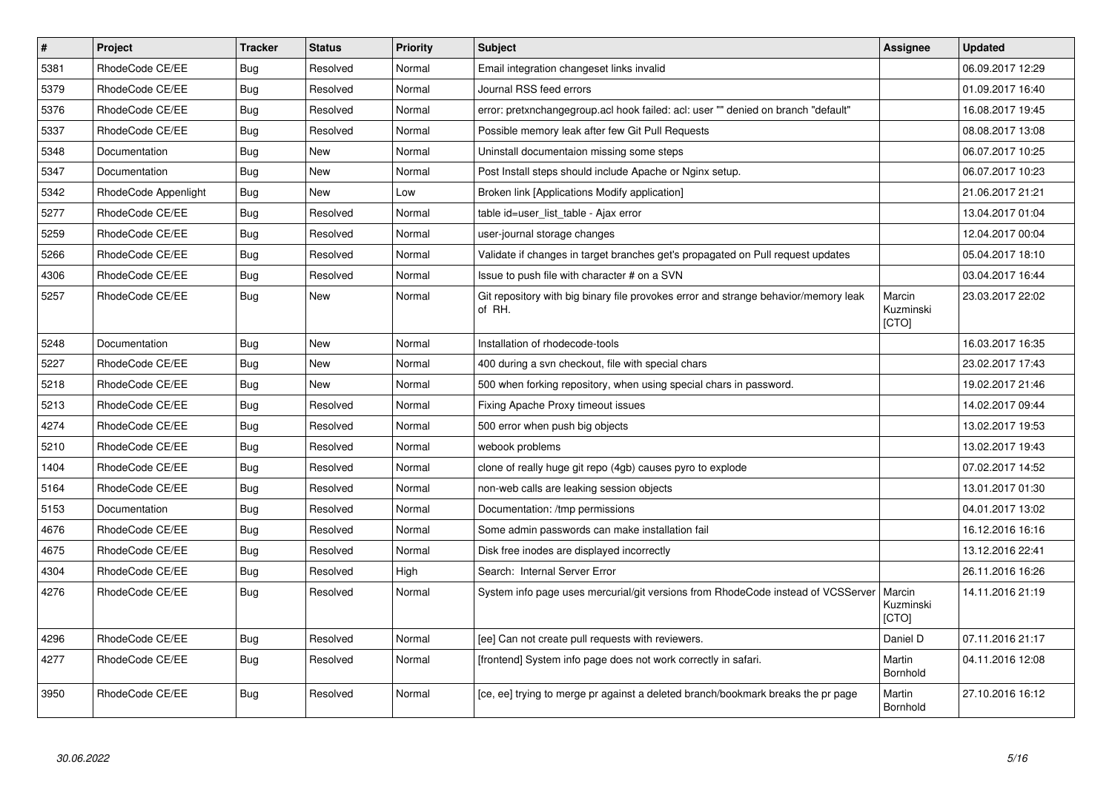| $\vert$ # | Project              | <b>Tracker</b> | <b>Status</b> | <b>Priority</b> | <b>Subject</b>                                                                                | Assignee                     | <b>Updated</b>   |
|-----------|----------------------|----------------|---------------|-----------------|-----------------------------------------------------------------------------------------------|------------------------------|------------------|
| 5381      | RhodeCode CE/EE      | Bug            | Resolved      | Normal          | Email integration changeset links invalid                                                     |                              | 06.09.2017 12:29 |
| 5379      | RhodeCode CE/EE      | Bug            | Resolved      | Normal          | Journal RSS feed errors                                                                       |                              | 01.09.2017 16:40 |
| 5376      | RhodeCode CE/EE      | Bug            | Resolved      | Normal          | error: pretxnchangegroup.acl hook failed: acl: user "" denied on branch "default"             |                              | 16.08.2017 19:45 |
| 5337      | RhodeCode CE/EE      | Bug            | Resolved      | Normal          | Possible memory leak after few Git Pull Requests                                              |                              | 08.08.2017 13:08 |
| 5348      | Documentation        | <b>Bug</b>     | <b>New</b>    | Normal          | Uninstall documentaion missing some steps                                                     |                              | 06.07.2017 10:25 |
| 5347      | Documentation        | Bug            | New           | Normal          | Post Install steps should include Apache or Nginx setup.                                      |                              | 06.07.2017 10:23 |
| 5342      | RhodeCode Appenlight | <b>Bug</b>     | <b>New</b>    | Low             | Broken link [Applications Modify application]                                                 |                              | 21.06.2017 21:21 |
| 5277      | RhodeCode CE/EE      | <b>Bug</b>     | Resolved      | Normal          | table id=user list table - Ajax error                                                         |                              | 13.04.2017 01:04 |
| 5259      | RhodeCode CE/EE      | <b>Bug</b>     | Resolved      | Normal          | user-journal storage changes                                                                  |                              | 12.04.2017 00:04 |
| 5266      | RhodeCode CE/EE      | Bug            | Resolved      | Normal          | Validate if changes in target branches get's propagated on Pull request updates               |                              | 05.04.2017 18:10 |
| 4306      | RhodeCode CE/EE      | <b>Bug</b>     | Resolved      | Normal          | Issue to push file with character # on a SVN                                                  |                              | 03.04.2017 16:44 |
| 5257      | RhodeCode CE/EE      | <b>Bug</b>     | <b>New</b>    | Normal          | Git repository with big binary file provokes error and strange behavior/memory leak<br>of RH. | Marcin<br>Kuzminski<br>[CTO] | 23.03.2017 22:02 |
| 5248      | Documentation        | <b>Bug</b>     | <b>New</b>    | Normal          | Installation of rhodecode-tools                                                               |                              | 16.03.2017 16:35 |
| 5227      | RhodeCode CE/EE      | Bug            | <b>New</b>    | Normal          | 400 during a svn checkout, file with special chars                                            |                              | 23.02.2017 17:43 |
| 5218      | RhodeCode CE/EE      | <b>Bug</b>     | <b>New</b>    | Normal          | 500 when forking repository, when using special chars in password.                            |                              | 19.02.2017 21:46 |
| 5213      | RhodeCode CE/EE      | <b>Bug</b>     | Resolved      | Normal          | Fixing Apache Proxy timeout issues                                                            |                              | 14.02.2017 09:44 |
| 4274      | RhodeCode CE/EE      | Bug            | Resolved      | Normal          | 500 error when push big objects                                                               |                              | 13.02.2017 19:53 |
| 5210      | RhodeCode CE/EE      | Bug            | Resolved      | Normal          | webook problems                                                                               |                              | 13.02.2017 19:43 |
| 1404      | RhodeCode CE/EE      | Bug            | Resolved      | Normal          | clone of really huge git repo (4gb) causes pyro to explode                                    |                              | 07.02.2017 14:52 |
| 5164      | RhodeCode CE/EE      | Bug            | Resolved      | Normal          | non-web calls are leaking session objects                                                     |                              | 13.01.2017 01:30 |
| 5153      | Documentation        | Bug            | Resolved      | Normal          | Documentation: /tmp permissions                                                               |                              | 04.01.2017 13:02 |
| 4676      | RhodeCode CE/EE      | Bug            | Resolved      | Normal          | Some admin passwords can make installation fail                                               |                              | 16.12.2016 16:16 |
| 4675      | RhodeCode CE/EE      | <b>Bug</b>     | Resolved      | Normal          | Disk free inodes are displayed incorrectly                                                    |                              | 13.12.2016 22:41 |
| 4304      | RhodeCode CE/EE      | Bug            | Resolved      | High            | Search: Internal Server Error                                                                 |                              | 26.11.2016 16:26 |
| 4276      | RhodeCode CE/EE      | <b>Bug</b>     | Resolved      | Normal          | System info page uses mercurial/git versions from RhodeCode instead of VCSServer              | Marcin<br>Kuzminski<br>[CTO] | 14.11.2016 21:19 |
| 4296      | RhodeCode CE/EE      | Bug            | Resolved      | Normal          | [ee] Can not create pull requests with reviewers.                                             | Daniel D                     | 07.11.2016 21:17 |
| 4277      | RhodeCode CE/EE      | Bug            | Resolved      | Normal          | [frontend] System info page does not work correctly in safari.                                | Martin<br>Bornhold           | 04.11.2016 12:08 |
| 3950      | RhodeCode CE/EE      | <b>Bug</b>     | Resolved      | Normal          | [ce, ee] trying to merge pr against a deleted branch/bookmark breaks the pr page              | Martin<br>Bornhold           | 27.10.2016 16:12 |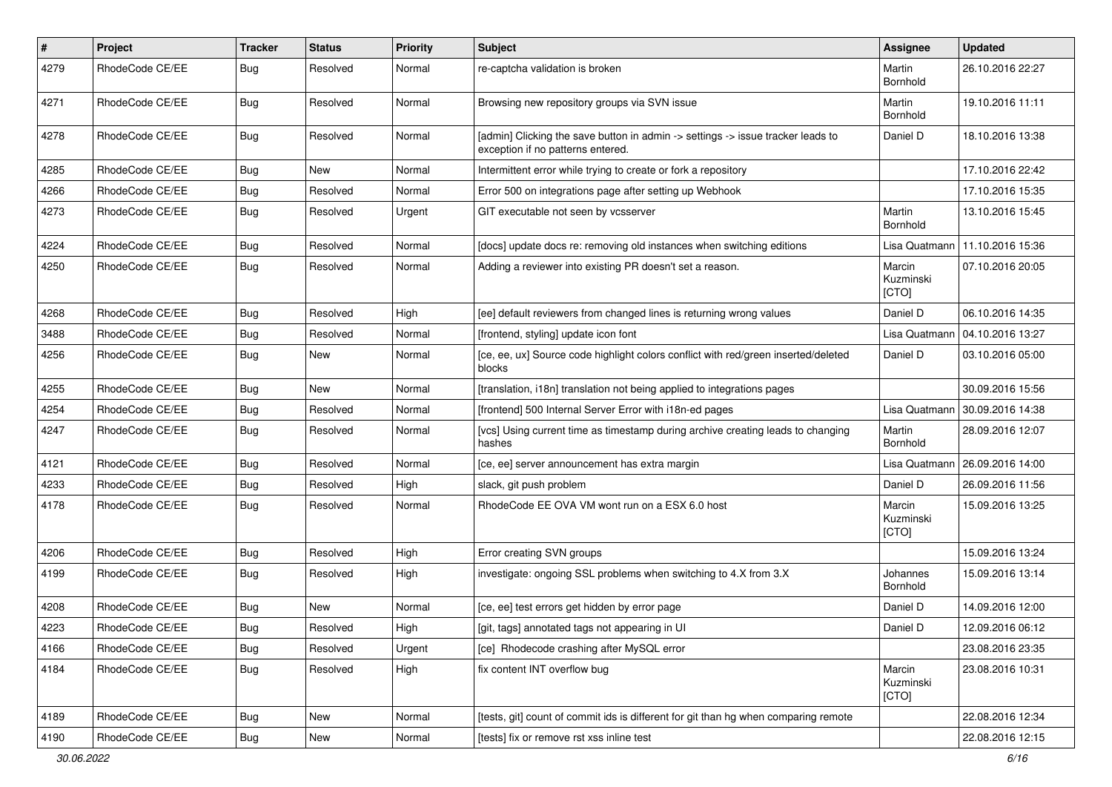| $\pmb{\#}$ | Project         | <b>Tracker</b> | <b>Status</b> | <b>Priority</b> | <b>Subject</b>                                                                                                       | <b>Assignee</b>              | <b>Updated</b>   |
|------------|-----------------|----------------|---------------|-----------------|----------------------------------------------------------------------------------------------------------------------|------------------------------|------------------|
| 4279       | RhodeCode CE/EE | Bug            | Resolved      | Normal          | re-captcha validation is broken                                                                                      | Martin<br>Bornhold           | 26.10.2016 22:27 |
| 4271       | RhodeCode CE/EE | Bug            | Resolved      | Normal          | Browsing new repository groups via SVN issue                                                                         | Martin<br>Bornhold           | 19.10.2016 11:11 |
| 4278       | RhodeCode CE/EE | Bug            | Resolved      | Normal          | [admin] Clicking the save button in admin -> settings -> issue tracker leads to<br>exception if no patterns entered. | Daniel D                     | 18.10.2016 13:38 |
| 4285       | RhodeCode CE/EE | <b>Bug</b>     | New           | Normal          | Intermittent error while trying to create or fork a repository                                                       |                              | 17.10.2016 22:42 |
| 4266       | RhodeCode CE/EE | Bug            | Resolved      | Normal          | Error 500 on integrations page after setting up Webhook                                                              |                              | 17.10.2016 15:35 |
| 4273       | RhodeCode CE/EE | <b>Bug</b>     | Resolved      | Urgent          | GIT executable not seen by vcsserver                                                                                 | Martin<br>Bornhold           | 13.10.2016 15:45 |
| 4224       | RhodeCode CE/EE | Bug            | Resolved      | Normal          | [docs] update docs re: removing old instances when switching editions                                                | Lisa Quatmann                | 11.10.2016 15:36 |
| 4250       | RhodeCode CE/EE | Bug            | Resolved      | Normal          | Adding a reviewer into existing PR doesn't set a reason.                                                             | Marcin<br>Kuzminski<br>[CTO] | 07.10.2016 20:05 |
| 4268       | RhodeCode CE/EE | <b>Bug</b>     | Resolved      | High            | [ee] default reviewers from changed lines is returning wrong values                                                  | Daniel D                     | 06.10.2016 14:35 |
| 3488       | RhodeCode CE/EE | <b>Bug</b>     | Resolved      | Normal          | [frontend, styling] update icon font                                                                                 | Lisa Quatmann                | 04.10.2016 13:27 |
| 4256       | RhodeCode CE/EE | Bug            | New           | Normal          | [ce, ee, ux] Source code highlight colors conflict with red/green inserted/deleted<br>blocks                         | Daniel D                     | 03.10.2016 05:00 |
| 4255       | RhodeCode CE/EE | Bug            | <b>New</b>    | Normal          | [translation, i18n] translation not being applied to integrations pages                                              |                              | 30.09.2016 15:56 |
| 4254       | RhodeCode CE/EE | <b>Bug</b>     | Resolved      | Normal          | [frontend] 500 Internal Server Error with i18n-ed pages                                                              | Lisa Quatmann                | 30.09.2016 14:38 |
| 4247       | RhodeCode CE/EE | Bug            | Resolved      | Normal          | [vcs] Using current time as timestamp during archive creating leads to changing<br>hashes                            | Martin<br>Bornhold           | 28.09.2016 12:07 |
| 4121       | RhodeCode CE/EE | Bug            | Resolved      | Normal          | [ce, ee] server announcement has extra margin                                                                        | Lisa Quatmann                | 26.09.2016 14:00 |
| 4233       | RhodeCode CE/EE | Bug            | Resolved      | High            | slack, git push problem                                                                                              | Daniel D                     | 26.09.2016 11:56 |
| 4178       | RhodeCode CE/EE | Bug            | Resolved      | Normal          | RhodeCode EE OVA VM wont run on a ESX 6.0 host                                                                       | Marcin<br>Kuzminski<br>[CTO] | 15.09.2016 13:25 |
| 4206       | RhodeCode CE/EE | Bug            | Resolved      | High            | Error creating SVN groups                                                                                            |                              | 15.09.2016 13:24 |
| 4199       | RhodeCode CE/EE | Bug            | Resolved      | High            | investigate: ongoing SSL problems when switching to 4.X from 3.X                                                     | Johannes<br>Bornhold         | 15.09.2016 13:14 |
| 4208       | RhodeCode CE/EE | Bug            | New           | Normal          | [ce, ee] test errors get hidden by error page                                                                        | Daniel D                     | 14.09.2016 12:00 |
| 4223       | RhodeCode CE/EE | Bug            | Resolved      | High            | [git, tags] annotated tags not appearing in UI                                                                       | Daniel D                     | 12.09.2016 06:12 |
| 4166       | RhodeCode CE/EE | Bug            | Resolved      | Urgent          | [ce] Rhodecode crashing after MySQL error                                                                            |                              | 23.08.2016 23:35 |
| 4184       | RhodeCode CE/EE | <b>Bug</b>     | Resolved      | High            | fix content INT overflow bug                                                                                         | Marcin<br>Kuzminski<br>[CTO] | 23.08.2016 10:31 |
| 4189       | RhodeCode CE/EE | Bug            | New           | Normal          | [tests, git] count of commit ids is different for git than hg when comparing remote                                  |                              | 22.08.2016 12:34 |
| 4190       | RhodeCode CE/EE | <b>Bug</b>     | New           | Normal          | [tests] fix or remove rst xss inline test                                                                            |                              | 22.08.2016 12:15 |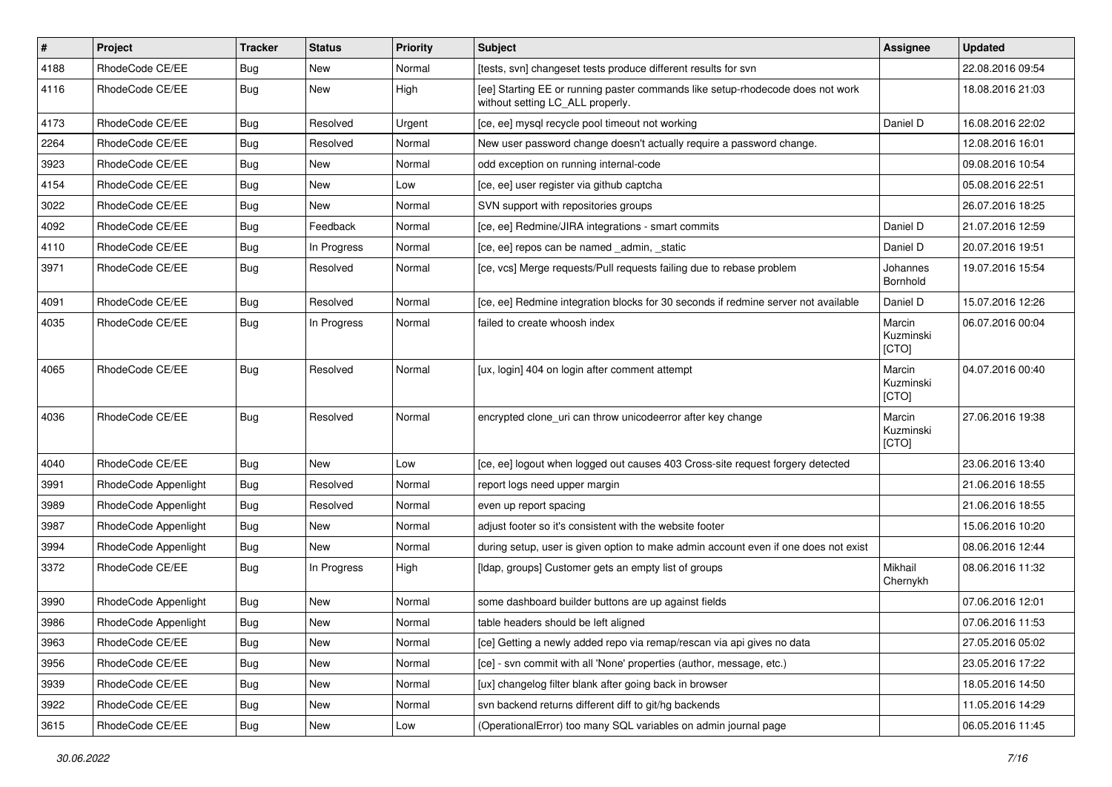| #    | Project              | <b>Tracker</b> | <b>Status</b> | <b>Priority</b> | <b>Subject</b>                                                                                                     | <b>Assignee</b>              | <b>Updated</b>   |
|------|----------------------|----------------|---------------|-----------------|--------------------------------------------------------------------------------------------------------------------|------------------------------|------------------|
| 4188 | RhodeCode CE/EE      | Bug            | New           | Normal          | [tests, svn] changeset tests produce different results for svn                                                     |                              | 22.08.2016 09:54 |
| 4116 | RhodeCode CE/EE      | Bug            | New           | High            | [ee] Starting EE or running paster commands like setup-rhodecode does not work<br>without setting LC_ALL properly. |                              | 18.08.2016 21:03 |
| 4173 | RhodeCode CE/EE      | Bug            | Resolved      | Urgent          | [ce, ee] mysql recycle pool timeout not working                                                                    | Daniel D                     | 16.08.2016 22:02 |
| 2264 | RhodeCode CE/EE      | Bug            | Resolved      | Normal          | New user password change doesn't actually require a password change.                                               |                              | 12.08.2016 16:01 |
| 3923 | RhodeCode CE/EE      | Bug            | New           | Normal          | odd exception on running internal-code                                                                             |                              | 09.08.2016 10:54 |
| 4154 | RhodeCode CE/EE      | Bug            | New           | Low             | [ce, ee] user register via github captcha                                                                          |                              | 05.08.2016 22:51 |
| 3022 | RhodeCode CE/EE      | Bug            | New           | Normal          | SVN support with repositories groups                                                                               |                              | 26.07.2016 18:25 |
| 4092 | RhodeCode CE/EE      | Bug            | Feedback      | Normal          | [ce, ee] Redmine/JIRA integrations - smart commits                                                                 | Daniel D                     | 21.07.2016 12:59 |
| 4110 | RhodeCode CE/EE      | <b>Bug</b>     | In Progress   | Normal          | [ce, ee] repos can be named _admin, _static                                                                        | Daniel D                     | 20.07.2016 19:51 |
| 3971 | RhodeCode CE/EE      | Bug            | Resolved      | Normal          | [ce, vcs] Merge requests/Pull requests failing due to rebase problem                                               | Johannes<br>Bornhold         | 19.07.2016 15:54 |
| 4091 | RhodeCode CE/EE      | Bug            | Resolved      | Normal          | [ce, ee] Redmine integration blocks for 30 seconds if redmine server not available                                 | Daniel D                     | 15.07.2016 12:26 |
| 4035 | RhodeCode CE/EE      | Bug            | In Progress   | Normal          | failed to create whoosh index                                                                                      | Marcin<br>Kuzminski<br>[CTO] | 06.07.2016 00:04 |
| 4065 | RhodeCode CE/EE      | Bug            | Resolved      | Normal          | [ux, login] 404 on login after comment attempt                                                                     | Marcin<br>Kuzminski<br>[CTO] | 04.07.2016 00:40 |
| 4036 | RhodeCode CE/EE      | Bug            | Resolved      | Normal          | encrypted clone_uri can throw unicodeerror after key change                                                        | Marcin<br>Kuzminski<br>[CTO] | 27.06.2016 19:38 |
| 4040 | RhodeCode CE/EE      | Bug            | New           | Low             | [ce, ee] logout when logged out causes 403 Cross-site request forgery detected                                     |                              | 23.06.2016 13:40 |
| 3991 | RhodeCode Appenlight | Bug            | Resolved      | Normal          | report logs need upper margin                                                                                      |                              | 21.06.2016 18:55 |
| 3989 | RhodeCode Appenlight | Bug            | Resolved      | Normal          | even up report spacing                                                                                             |                              | 21.06.2016 18:55 |
| 3987 | RhodeCode Appenlight | Bug            | New           | Normal          | adjust footer so it's consistent with the website footer                                                           |                              | 15.06.2016 10:20 |
| 3994 | RhodeCode Appenlight | Bug            | <b>New</b>    | Normal          | during setup, user is given option to make admin account even if one does not exist                                |                              | 08.06.2016 12:44 |
| 3372 | RhodeCode CE/EE      | Bug            | In Progress   | High            | [Idap, groups] Customer gets an empty list of groups                                                               | Mikhail<br>Chernykh          | 08.06.2016 11:32 |
| 3990 | RhodeCode Appenlight | Bug            | New           | Normal          | some dashboard builder buttons are up against fields                                                               |                              | 07.06.2016 12:01 |
| 3986 | RhodeCode Appenlight | Bug            | New           | Normal          | table headers should be left aligned                                                                               |                              | 07.06.2016 11:53 |
| 3963 | RhodeCode CE/EE      | <b>Bug</b>     | New           | Normal          | [ce] Getting a newly added repo via remap/rescan via api gives no data                                             |                              | 27.05.2016 05:02 |
| 3956 | RhodeCode CE/EE      | <b>Bug</b>     | New           | Normal          | [ce] - svn commit with all 'None' properties (author, message, etc.)                                               |                              | 23.05.2016 17:22 |
| 3939 | RhodeCode CE/EE      | Bug            | New           | Normal          | [ux] changelog filter blank after going back in browser                                                            |                              | 18.05.2016 14:50 |
| 3922 | RhodeCode CE/EE      | <b>Bug</b>     | New           | Normal          | svn backend returns different diff to git/hg backends                                                              |                              | 11.05.2016 14:29 |
| 3615 | RhodeCode CE/EE      | Bug            | New           | Low             | (OperationalError) too many SQL variables on admin journal page                                                    |                              | 06.05.2016 11:45 |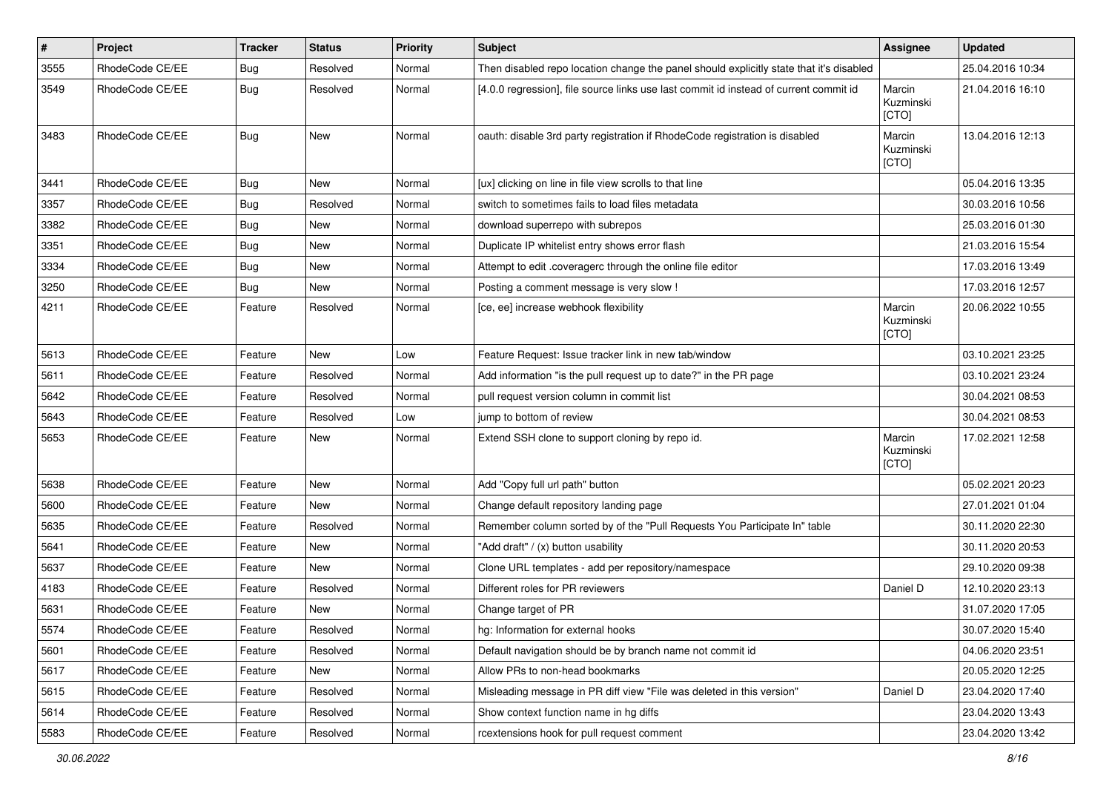| $\vert$ # | Project         | <b>Tracker</b> | <b>Status</b> | <b>Priority</b> | <b>Subject</b>                                                                          | Assignee                     | <b>Updated</b>   |
|-----------|-----------------|----------------|---------------|-----------------|-----------------------------------------------------------------------------------------|------------------------------|------------------|
| 3555      | RhodeCode CE/EE | <b>Bug</b>     | Resolved      | Normal          | Then disabled repo location change the panel should explicitly state that it's disabled |                              | 25.04.2016 10:34 |
| 3549      | RhodeCode CE/EE | <b>Bug</b>     | Resolved      | Normal          | [4.0.0 regression], file source links use last commit id instead of current commit id   | Marcin<br>Kuzminski<br>[CTO] | 21.04.2016 16:10 |
| 3483      | RhodeCode CE/EE | Bug            | <b>New</b>    | Normal          | oauth: disable 3rd party registration if RhodeCode registration is disabled             | Marcin<br>Kuzminski<br>[CTO] | 13.04.2016 12:13 |
| 3441      | RhodeCode CE/EE | Bug            | New           | Normal          | [ux] clicking on line in file view scrolls to that line                                 |                              | 05.04.2016 13:35 |
| 3357      | RhodeCode CE/EE | <b>Bug</b>     | Resolved      | Normal          | switch to sometimes fails to load files metadata                                        |                              | 30.03.2016 10:56 |
| 3382      | RhodeCode CE/EE | <b>Bug</b>     | New           | Normal          | download superrepo with subrepos                                                        |                              | 25.03.2016 01:30 |
| 3351      | RhodeCode CE/EE | Bug            | New           | Normal          | Duplicate IP whitelist entry shows error flash                                          |                              | 21.03.2016 15:54 |
| 3334      | RhodeCode CE/EE | <b>Bug</b>     | New           | Normal          | Attempt to edit .coveragerc through the online file editor                              |                              | 17.03.2016 13:49 |
| 3250      | RhodeCode CE/EE | Bug            | <b>New</b>    | Normal          | Posting a comment message is very slow !                                                |                              | 17.03.2016 12:57 |
| 4211      | RhodeCode CE/EE | Feature        | Resolved      | Normal          | [ce, ee] increase webhook flexibility                                                   | Marcin<br>Kuzminski<br>[CTO] | 20.06.2022 10:55 |
| 5613      | RhodeCode CE/EE | Feature        | New           | Low             | Feature Request: Issue tracker link in new tab/window                                   |                              | 03.10.2021 23:25 |
| 5611      | RhodeCode CE/EE | Feature        | Resolved      | Normal          | Add information "is the pull request up to date?" in the PR page                        |                              | 03.10.2021 23:24 |
| 5642      | RhodeCode CE/EE | Feature        | Resolved      | Normal          | pull request version column in commit list                                              |                              | 30.04.2021 08:53 |
| 5643      | RhodeCode CE/EE | Feature        | Resolved      | Low             | jump to bottom of review                                                                |                              | 30.04.2021 08:53 |
| 5653      | RhodeCode CE/EE | Feature        | New           | Normal          | Extend SSH clone to support cloning by repo id.                                         | Marcin<br>Kuzminski<br>[CTO] | 17.02.2021 12:58 |
| 5638      | RhodeCode CE/EE | Feature        | <b>New</b>    | Normal          | Add "Copy full url path" button                                                         |                              | 05.02.2021 20:23 |
| 5600      | RhodeCode CE/EE | Feature        | New           | Normal          | Change default repository landing page                                                  |                              | 27.01.2021 01:04 |
| 5635      | RhodeCode CE/EE | Feature        | Resolved      | Normal          | Remember column sorted by of the "Pull Requests You Participate In" table               |                              | 30.11.2020 22:30 |
| 5641      | RhodeCode CE/EE | Feature        | New           | Normal          | "Add draft" / (x) button usability                                                      |                              | 30.11.2020 20:53 |
| 5637      | RhodeCode CE/EE | Feature        | <b>New</b>    | Normal          | Clone URL templates - add per repository/namespace                                      |                              | 29.10.2020 09:38 |
| 4183      | RhodeCode CE/EE | Feature        | Resolved      | Normal          | Different roles for PR reviewers                                                        | Daniel D                     | 12.10.2020 23:13 |
| 5631      | RhodeCode CE/EE | Feature        | New           | Normal          | Change target of PR                                                                     |                              | 31.07.2020 17:05 |
| 5574      | RhodeCode CE/EE | Feature        | Resolved      | Normal          | hg: Information for external hooks                                                      |                              | 30.07.2020 15:40 |
| 5601      | RhodeCode CE/EE | Feature        | Resolved      | Normal          | Default navigation should be by branch name not commit id                               |                              | 04.06.2020 23:51 |
| 5617      | RhodeCode CE/EE | Feature        | New           | Normal          | Allow PRs to non-head bookmarks                                                         |                              | 20.05.2020 12:25 |
| 5615      | RhodeCode CE/EE | Feature        | Resolved      | Normal          | Misleading message in PR diff view "File was deleted in this version"                   | Daniel D                     | 23.04.2020 17:40 |
| 5614      | RhodeCode CE/EE | Feature        | Resolved      | Normal          | Show context function name in hg diffs                                                  |                              | 23.04.2020 13:43 |
| 5583      | RhodeCode CE/EE | Feature        | Resolved      | Normal          | rcextensions hook for pull request comment                                              |                              | 23.04.2020 13:42 |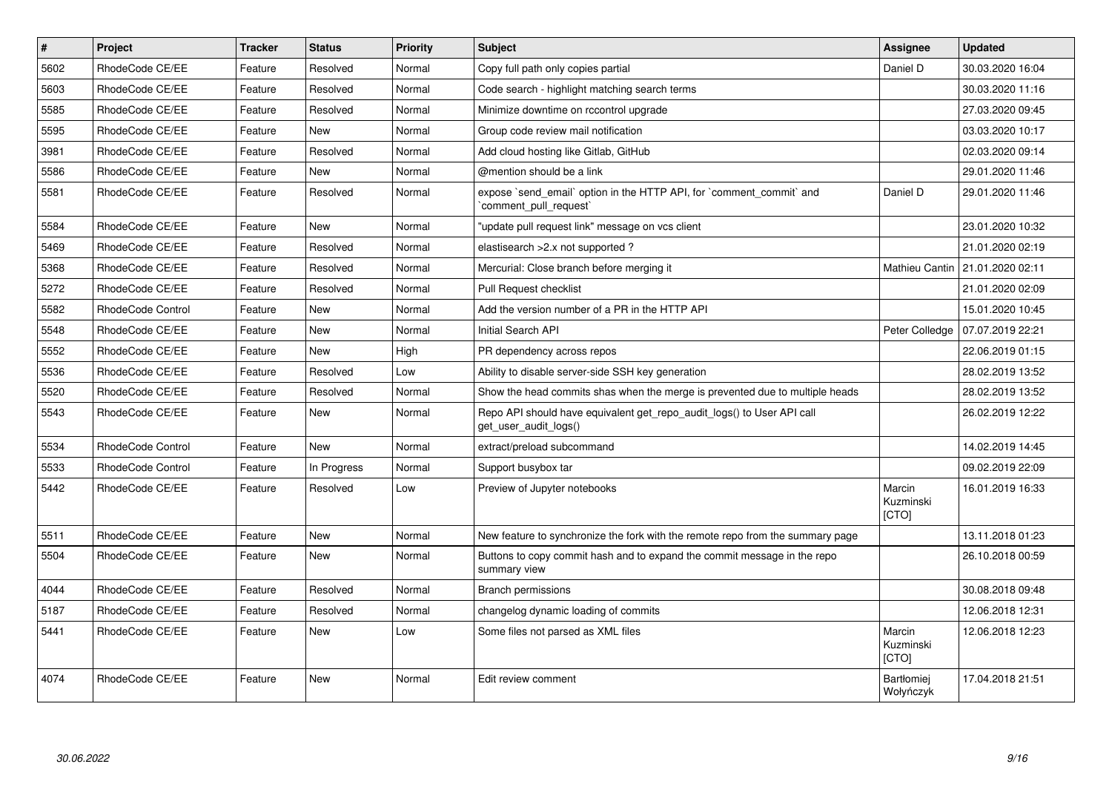| $\pmb{\#}$ | Project                  | <b>Tracker</b> | <b>Status</b> | <b>Priority</b> | <b>Subject</b>                                                                                  | Assignee                       | <b>Updated</b>   |
|------------|--------------------------|----------------|---------------|-----------------|-------------------------------------------------------------------------------------------------|--------------------------------|------------------|
| 5602       | RhodeCode CE/EE          | Feature        | Resolved      | Normal          | Copy full path only copies partial                                                              | Daniel D                       | 30.03.2020 16:04 |
| 5603       | RhodeCode CE/EE          | Feature        | Resolved      | Normal          | Code search - highlight matching search terms                                                   |                                | 30.03.2020 11:16 |
| 5585       | RhodeCode CE/EE          | Feature        | Resolved      | Normal          | Minimize downtime on rccontrol upgrade                                                          |                                | 27.03.2020 09:45 |
| 5595       | RhodeCode CE/EE          | Feature        | <b>New</b>    | Normal          | Group code review mail notification                                                             |                                | 03.03.2020 10:17 |
| 3981       | RhodeCode CE/EE          | Feature        | Resolved      | Normal          | Add cloud hosting like Gitlab, GitHub                                                           |                                | 02.03.2020 09:14 |
| 5586       | RhodeCode CE/EE          | Feature        | <b>New</b>    | Normal          | @mention should be a link                                                                       |                                | 29.01.2020 11:46 |
| 5581       | RhodeCode CE/EE          | Feature        | Resolved      | Normal          | expose `send email` option in the HTTP API, for `comment commit` and<br>comment pull request`   | Daniel D                       | 29.01.2020 11:46 |
| 5584       | RhodeCode CE/EE          | Feature        | New           | Normal          | "update pull request link" message on vcs client                                                |                                | 23.01.2020 10:32 |
| 5469       | RhodeCode CE/EE          | Feature        | Resolved      | Normal          | elastisearch > 2.x not supported ?                                                              |                                | 21.01.2020 02:19 |
| 5368       | RhodeCode CE/EE          | Feature        | Resolved      | Normal          | Mercurial: Close branch before merging it                                                       | Mathieu Cantin                 | 21.01.2020 02:11 |
| 5272       | RhodeCode CE/EE          | Feature        | Resolved      | Normal          | Pull Request checklist                                                                          |                                | 21.01.2020 02:09 |
| 5582       | RhodeCode Control        | Feature        | New           | Normal          | Add the version number of a PR in the HTTP API                                                  |                                | 15.01.2020 10:45 |
| 5548       | RhodeCode CE/EE          | Feature        | <b>New</b>    | Normal          | Initial Search API                                                                              | Peter Colledge                 | 07.07.2019 22:21 |
| 5552       | RhodeCode CE/EE          | Feature        | <b>New</b>    | High            | PR dependency across repos                                                                      |                                | 22.06.2019 01:15 |
| 5536       | RhodeCode CE/EE          | Feature        | Resolved      | Low             | Ability to disable server-side SSH key generation                                               |                                | 28.02.2019 13:52 |
| 5520       | RhodeCode CE/EE          | Feature        | Resolved      | Normal          | Show the head commits shas when the merge is prevented due to multiple heads                    |                                | 28.02.2019 13:52 |
| 5543       | RhodeCode CE/EE          | Feature        | New           | Normal          | Repo API should have equivalent get repo audit logs() to User API call<br>get user audit logs() |                                | 26.02.2019 12:22 |
| 5534       | RhodeCode Control        | Feature        | New           | Normal          | extract/preload subcommand                                                                      |                                | 14.02.2019 14:45 |
| 5533       | <b>RhodeCode Control</b> | Feature        | In Progress   | Normal          | Support busybox tar                                                                             |                                | 09.02.2019 22:09 |
| 5442       | RhodeCode CE/EE          | Feature        | Resolved      | Low             | Preview of Jupyter notebooks                                                                    | Marcin<br>Kuzminski<br>[CTO]   | 16.01.2019 16:33 |
| 5511       | RhodeCode CE/EE          | Feature        | New           | Normal          | New feature to synchronize the fork with the remote repo from the summary page                  |                                | 13.11.2018 01:23 |
| 5504       | RhodeCode CE/EE          | Feature        | <b>New</b>    | Normal          | Buttons to copy commit hash and to expand the commit message in the repo<br>summary view        |                                | 26.10.2018 00:59 |
| 4044       | RhodeCode CE/EE          | Feature        | Resolved      | Normal          | <b>Branch permissions</b>                                                                       |                                | 30.08.2018 09:48 |
| 5187       | RhodeCode CE/EE          | Feature        | Resolved      | Normal          | changelog dynamic loading of commits                                                            |                                | 12.06.2018 12:31 |
| 5441       | RhodeCode CE/EE          | Feature        | <b>New</b>    | Low             | Some files not parsed as XML files                                                              | Marcin<br>Kuzminski<br>[CTO]   | 12.06.2018 12:23 |
| 4074       | RhodeCode CE/EE          | Feature        | New           | Normal          | Edit review comment                                                                             | <b>Bartłomiei</b><br>Wołyńczyk | 17.04.2018 21:51 |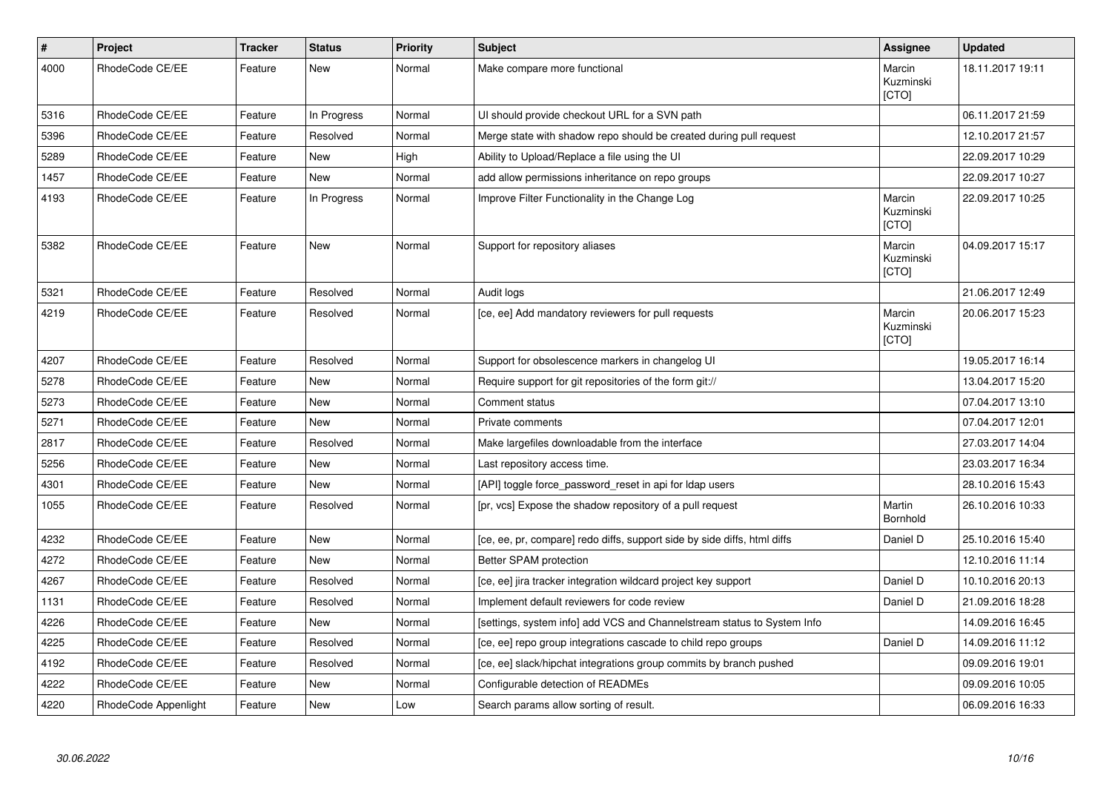| $\pmb{\#}$ | Project              | <b>Tracker</b> | <b>Status</b> | <b>Priority</b> | <b>Subject</b>                                                           | Assignee                     | <b>Updated</b>   |
|------------|----------------------|----------------|---------------|-----------------|--------------------------------------------------------------------------|------------------------------|------------------|
| 4000       | RhodeCode CE/EE      | Feature        | <b>New</b>    | Normal          | Make compare more functional                                             | Marcin<br>Kuzminski<br>[CTO] | 18.11.2017 19:11 |
| 5316       | RhodeCode CE/EE      | Feature        | In Progress   | Normal          | UI should provide checkout URL for a SVN path                            |                              | 06.11.2017 21:59 |
| 5396       | RhodeCode CE/EE      | Feature        | Resolved      | Normal          | Merge state with shadow repo should be created during pull request       |                              | 12.10.2017 21:57 |
| 5289       | RhodeCode CE/EE      | Feature        | New           | High            | Ability to Upload/Replace a file using the UI                            |                              | 22.09.2017 10:29 |
| 1457       | RhodeCode CE/EE      | Feature        | <b>New</b>    | Normal          | add allow permissions inheritance on repo groups                         |                              | 22.09.2017 10:27 |
| 4193       | RhodeCode CE/EE      | Feature        | In Progress   | Normal          | Improve Filter Functionality in the Change Log                           | Marcin<br>Kuzminski<br>[CTO] | 22.09.2017 10:25 |
| 5382       | RhodeCode CE/EE      | Feature        | <b>New</b>    | Normal          | Support for repository aliases                                           | Marcin<br>Kuzminski<br>[CTO] | 04.09.2017 15:17 |
| 5321       | RhodeCode CE/EE      | Feature        | Resolved      | Normal          | Audit logs                                                               |                              | 21.06.2017 12:49 |
| 4219       | RhodeCode CE/EE      | Feature        | Resolved      | Normal          | [ce, ee] Add mandatory reviewers for pull requests                       | Marcin<br>Kuzminski<br>[CTO] | 20.06.2017 15:23 |
| 4207       | RhodeCode CE/EE      | Feature        | Resolved      | Normal          | Support for obsolescence markers in changelog UI                         |                              | 19.05.2017 16:14 |
| 5278       | RhodeCode CE/EE      | Feature        | New           | Normal          | Require support for git repositories of the form git://                  |                              | 13.04.2017 15:20 |
| 5273       | RhodeCode CE/EE      | Feature        | <b>New</b>    | Normal          | Comment status                                                           |                              | 07.04.2017 13:10 |
| 5271       | RhodeCode CE/EE      | Feature        | <b>New</b>    | Normal          | Private comments                                                         |                              | 07.04.2017 12:01 |
| 2817       | RhodeCode CE/EE      | Feature        | Resolved      | Normal          | Make largefiles downloadable from the interface                          |                              | 27.03.2017 14:04 |
| 5256       | RhodeCode CE/EE      | Feature        | <b>New</b>    | Normal          | Last repository access time.                                             |                              | 23.03.2017 16:34 |
| 4301       | RhodeCode CE/EE      | Feature        | <b>New</b>    | Normal          | [API] toggle force_password_reset in api for Idap users                  |                              | 28.10.2016 15:43 |
| 1055       | RhodeCode CE/EE      | Feature        | Resolved      | Normal          | [pr, vcs] Expose the shadow repository of a pull request                 | Martin<br><b>Bornhold</b>    | 26.10.2016 10:33 |
| 4232       | RhodeCode CE/EE      | Feature        | New           | Normal          | [ce, ee, pr, compare] redo diffs, support side by side diffs, html diffs | Daniel D                     | 25.10.2016 15:40 |
| 4272       | RhodeCode CE/EE      | Feature        | New           | Normal          | Better SPAM protection                                                   |                              | 12.10.2016 11:14 |
| 4267       | RhodeCode CE/EE      | Feature        | Resolved      | Normal          | [ce, ee] jira tracker integration wildcard project key support           | Daniel D                     | 10.10.2016 20:13 |
| 1131       | RhodeCode CE/EE      | Feature        | Resolved      | Normal          | Implement default reviewers for code review                              | Daniel D                     | 21.09.2016 18:28 |
| 4226       | RhodeCode CE/EE      | Feature        | <b>New</b>    | Normal          | [settings, system info] add VCS and Channelstream status to System Info  |                              | 14.09.2016 16:45 |
| 4225       | RhodeCode CE/EE      | Feature        | Resolved      | Normal          | [ce, ee] repo group integrations cascade to child repo groups            | Daniel D                     | 14.09.2016 11:12 |
| 4192       | RhodeCode CE/EE      | Feature        | Resolved      | Normal          | [ce, ee] slack/hipchat integrations group commits by branch pushed       |                              | 09.09.2016 19:01 |
| 4222       | RhodeCode CE/EE      | Feature        | New           | Normal          | Configurable detection of READMEs                                        |                              | 09.09.2016 10:05 |
| 4220       | RhodeCode Appenlight | Feature        | <b>New</b>    | Low             | Search params allow sorting of result.                                   |                              | 06.09.2016 16:33 |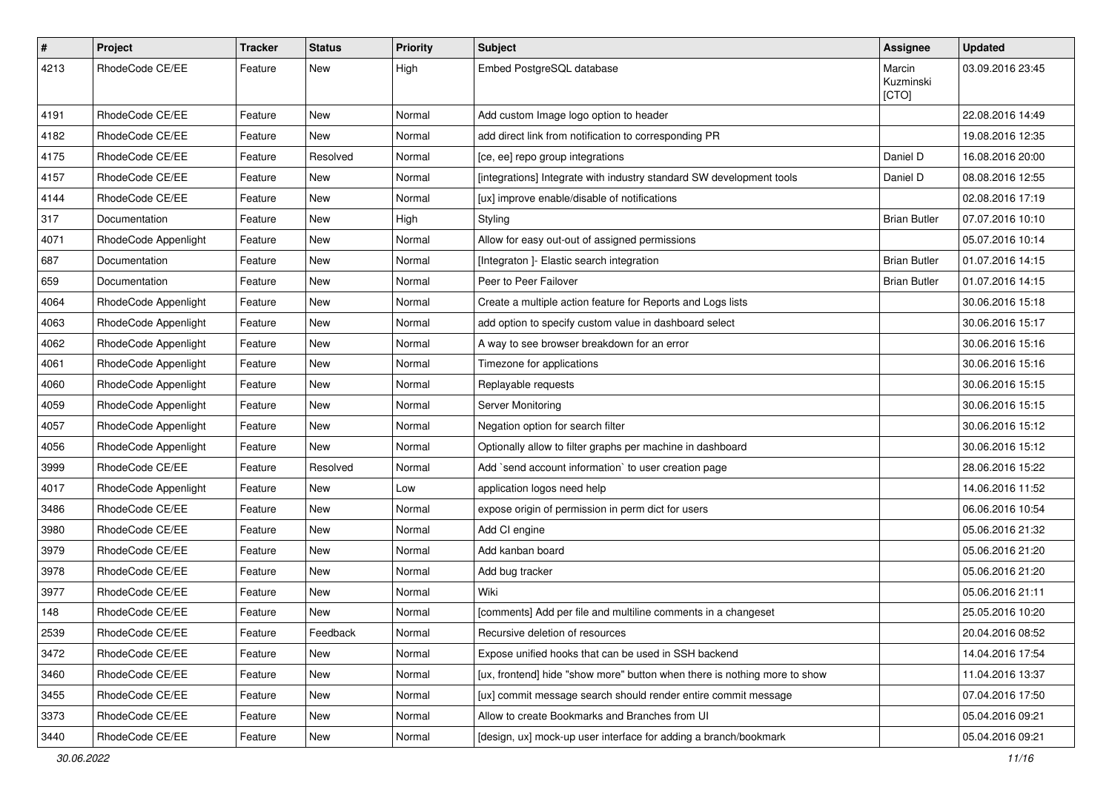| $\#$ | Project              | Tracker | <b>Status</b> | <b>Priority</b> | Subject                                                                   | Assignee                     | <b>Updated</b>   |
|------|----------------------|---------|---------------|-----------------|---------------------------------------------------------------------------|------------------------------|------------------|
| 4213 | RhodeCode CE/EE      | Feature | New           | High            | Embed PostgreSQL database                                                 | Marcin<br>Kuzminski<br>[CTO] | 03.09.2016 23:45 |
| 4191 | RhodeCode CE/EE      | Feature | New           | Normal          | Add custom Image logo option to header                                    |                              | 22.08.2016 14:49 |
| 4182 | RhodeCode CE/EE      | Feature | New           | Normal          | add direct link from notification to corresponding PR                     |                              | 19.08.2016 12:35 |
| 4175 | RhodeCode CE/EE      | Feature | Resolved      | Normal          | [ce, ee] repo group integrations                                          | Daniel D                     | 16.08.2016 20:00 |
| 4157 | RhodeCode CE/EE      | Feature | New           | Normal          | [integrations] Integrate with industry standard SW development tools      | Daniel D                     | 08.08.2016 12:55 |
| 4144 | RhodeCode CE/EE      | Feature | New           | Normal          | [ux] improve enable/disable of notifications                              |                              | 02.08.2016 17:19 |
| 317  | Documentation        | Feature | New           | High            | Styling                                                                   | <b>Brian Butler</b>          | 07.07.2016 10:10 |
| 4071 | RhodeCode Appenlight | Feature | New           | Normal          | Allow for easy out-out of assigned permissions                            |                              | 05.07.2016 10:14 |
| 687  | Documentation        | Feature | New           | Normal          | [Integraton] - Elastic search integration                                 | <b>Brian Butler</b>          | 01.07.2016 14:15 |
| 659  | Documentation        | Feature | New           | Normal          | Peer to Peer Failover                                                     | <b>Brian Butler</b>          | 01.07.2016 14:15 |
| 4064 | RhodeCode Appenlight | Feature | New           | Normal          | Create a multiple action feature for Reports and Logs lists               |                              | 30.06.2016 15:18 |
| 4063 | RhodeCode Appenlight | Feature | New           | Normal          | add option to specify custom value in dashboard select                    |                              | 30.06.2016 15:17 |
| 4062 | RhodeCode Appenlight | Feature | New           | Normal          | A way to see browser breakdown for an error                               |                              | 30.06.2016 15:16 |
| 4061 | RhodeCode Appenlight | Feature | New           | Normal          | Timezone for applications                                                 |                              | 30.06.2016 15:16 |
| 4060 | RhodeCode Appenlight | Feature | New           | Normal          | Replayable requests                                                       |                              | 30.06.2016 15:15 |
| 4059 | RhodeCode Appenlight | Feature | New           | Normal          | Server Monitoring                                                         |                              | 30.06.2016 15:15 |
| 4057 | RhodeCode Appenlight | Feature | New           | Normal          | Negation option for search filter                                         |                              | 30.06.2016 15:12 |
| 4056 | RhodeCode Appenlight | Feature | <b>New</b>    | Normal          | Optionally allow to filter graphs per machine in dashboard                |                              | 30.06.2016 15:12 |
| 3999 | RhodeCode CE/EE      | Feature | Resolved      | Normal          | Add `send account information` to user creation page                      |                              | 28.06.2016 15:22 |
| 4017 | RhodeCode Appenlight | Feature | New           | Low             | application logos need help                                               |                              | 14.06.2016 11:52 |
| 3486 | RhodeCode CE/EE      | Feature | New           | Normal          | expose origin of permission in perm dict for users                        |                              | 06.06.2016 10:54 |
| 3980 | RhodeCode CE/EE      | Feature | New           | Normal          | Add CI engine                                                             |                              | 05.06.2016 21:32 |
| 3979 | RhodeCode CE/EE      | Feature | New           | Normal          | Add kanban board                                                          |                              | 05.06.2016 21:20 |
| 3978 | RhodeCode CE/EE      | Feature | New           | Normal          | Add bug tracker                                                           |                              | 05.06.2016 21:20 |
| 3977 | RhodeCode CE/EE      | Feature | New           | Normal          | Wiki                                                                      |                              | 05.06.2016 21:11 |
| 148  | RhodeCode CE/EE      | Feature | New           | Normal          | [comments] Add per file and multiline comments in a changeset             |                              | 25.05.2016 10:20 |
| 2539 | RhodeCode CE/EE      | Feature | Feedback      | Normal          | Recursive deletion of resources                                           |                              | 20.04.2016 08:52 |
| 3472 | RhodeCode CE/EE      | Feature | New           | Normal          | Expose unified hooks that can be used in SSH backend                      |                              | 14.04.2016 17:54 |
| 3460 | RhodeCode CE/EE      | Feature | New           | Normal          | [ux, frontend] hide "show more" button when there is nothing more to show |                              | 11.04.2016 13:37 |
| 3455 | RhodeCode CE/EE      | Feature | New           | Normal          | [ux] commit message search should render entire commit message            |                              | 07.04.2016 17:50 |
| 3373 | RhodeCode CE/EE      | Feature | New           | Normal          | Allow to create Bookmarks and Branches from UI                            |                              | 05.04.2016 09:21 |
| 3440 | RhodeCode CE/EE      | Feature | New           | Normal          | [design, ux] mock-up user interface for adding a branch/bookmark          |                              | 05.04.2016 09:21 |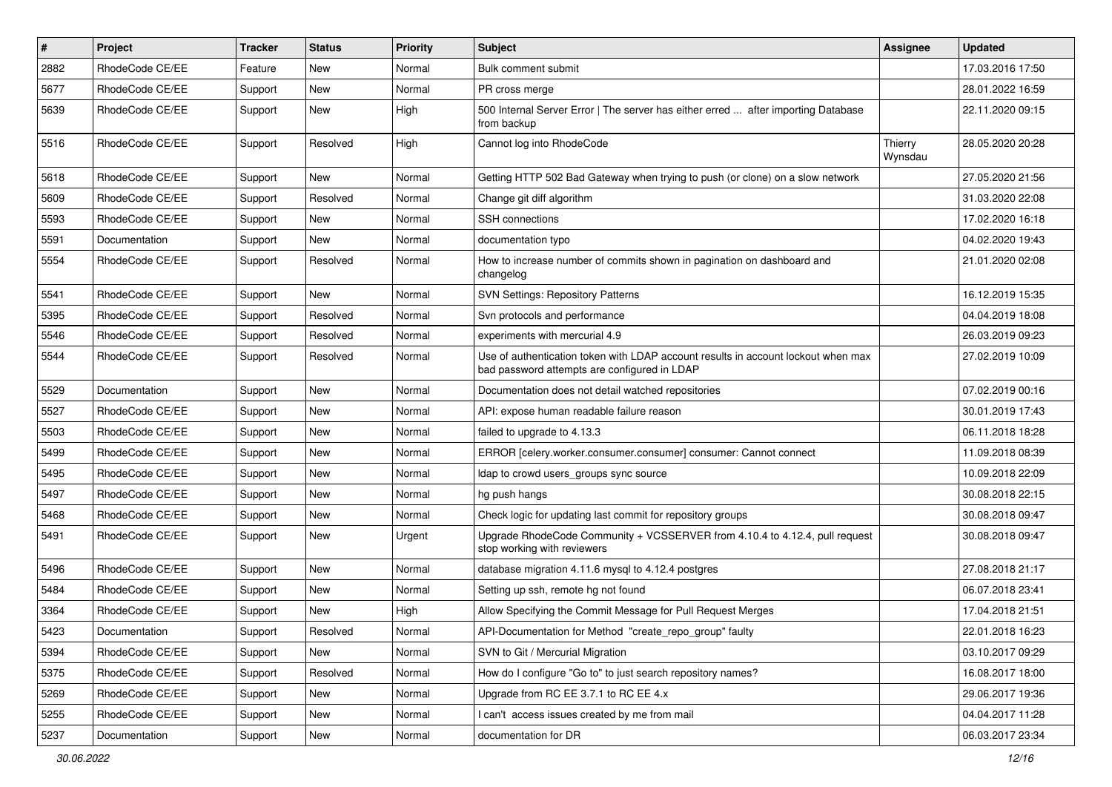| #    | Project         | <b>Tracker</b> | <b>Status</b> | <b>Priority</b> | <b>Subject</b>                                                                                                                    | <b>Assignee</b>    | <b>Updated</b>   |
|------|-----------------|----------------|---------------|-----------------|-----------------------------------------------------------------------------------------------------------------------------------|--------------------|------------------|
| 2882 | RhodeCode CE/EE | Feature        | New           | Normal          | Bulk comment submit                                                                                                               |                    | 17.03.2016 17:50 |
| 5677 | RhodeCode CE/EE | Support        | <b>New</b>    | Normal          | PR cross merge                                                                                                                    |                    | 28.01.2022 16:59 |
| 5639 | RhodeCode CE/EE | Support        | New           | High            | 500 Internal Server Error   The server has either erred  after importing Database<br>from backup                                  |                    | 22.11.2020 09:15 |
| 5516 | RhodeCode CE/EE | Support        | Resolved      | High            | Cannot log into RhodeCode                                                                                                         | Thierry<br>Wynsdau | 28.05.2020 20:28 |
| 5618 | RhodeCode CE/EE | Support        | New           | Normal          | Getting HTTP 502 Bad Gateway when trying to push (or clone) on a slow network                                                     |                    | 27.05.2020 21:56 |
| 5609 | RhodeCode CE/EE | Support        | Resolved      | Normal          | Change git diff algorithm                                                                                                         |                    | 31.03.2020 22:08 |
| 5593 | RhodeCode CE/EE | Support        | New           | Normal          | SSH connections                                                                                                                   |                    | 17.02.2020 16:18 |
| 5591 | Documentation   | Support        | <b>New</b>    | Normal          | documentation typo                                                                                                                |                    | 04.02.2020 19:43 |
| 5554 | RhodeCode CE/EE | Support        | Resolved      | Normal          | How to increase number of commits shown in pagination on dashboard and<br>changelog                                               |                    | 21.01.2020 02:08 |
| 5541 | RhodeCode CE/EE | Support        | New           | Normal          | <b>SVN Settings: Repository Patterns</b>                                                                                          |                    | 16.12.2019 15:35 |
| 5395 | RhodeCode CE/EE | Support        | Resolved      | Normal          | Svn protocols and performance                                                                                                     |                    | 04.04.2019 18:08 |
| 5546 | RhodeCode CE/EE | Support        | Resolved      | Normal          | experiments with mercurial 4.9                                                                                                    |                    | 26.03.2019 09:23 |
| 5544 | RhodeCode CE/EE | Support        | Resolved      | Normal          | Use of authentication token with LDAP account results in account lockout when max<br>bad password attempts are configured in LDAP |                    | 27.02.2019 10:09 |
| 5529 | Documentation   | Support        | <b>New</b>    | Normal          | Documentation does not detail watched repositories                                                                                |                    | 07.02.2019 00:16 |
| 5527 | RhodeCode CE/EE | Support        | New           | Normal          | API: expose human readable failure reason                                                                                         |                    | 30.01.2019 17:43 |
| 5503 | RhodeCode CE/EE | Support        | New           | Normal          | failed to upgrade to 4.13.3                                                                                                       |                    | 06.11.2018 18:28 |
| 5499 | RhodeCode CE/EE | Support        | New           | Normal          | ERROR [celery.worker.consumer.consumer] consumer: Cannot connect                                                                  |                    | 11.09.2018 08:39 |
| 5495 | RhodeCode CE/EE | Support        | New           | Normal          | Idap to crowd users_groups sync source                                                                                            |                    | 10.09.2018 22:09 |
| 5497 | RhodeCode CE/EE | Support        | New           | Normal          | hg push hangs                                                                                                                     |                    | 30.08.2018 22:15 |
| 5468 | RhodeCode CE/EE | Support        | New           | Normal          | Check logic for updating last commit for repository groups                                                                        |                    | 30.08.2018 09:47 |
| 5491 | RhodeCode CE/EE | Support        | New           | Urgent          | Upgrade RhodeCode Community + VCSSERVER from 4.10.4 to 4.12.4, pull request<br>stop working with reviewers                        |                    | 30.08.2018 09:47 |
| 5496 | RhodeCode CE/EE | Support        | New           | Normal          | database migration 4.11.6 mysql to 4.12.4 postgres                                                                                |                    | 27.08.2018 21:17 |
| 5484 | RhodeCode CE/EE | Support        | New           | Normal          | Setting up ssh, remote hg not found                                                                                               |                    | 06.07.2018 23:41 |
| 3364 | RhodeCode CE/EE | Support        | New           | High            | Allow Specifying the Commit Message for Pull Request Merges                                                                       |                    | 17.04.2018 21:51 |
| 5423 | Documentation   | Support        | Resolved      | Normal          | API-Documentation for Method "create_repo_group" faulty                                                                           |                    | 22.01.2018 16:23 |
| 5394 | RhodeCode CE/EE | Support        | New           | Normal          | SVN to Git / Mercurial Migration                                                                                                  |                    | 03.10.2017 09:29 |
| 5375 | RhodeCode CE/EE | Support        | Resolved      | Normal          | How do I configure "Go to" to just search repository names?                                                                       |                    | 16.08.2017 18:00 |
| 5269 | RhodeCode CE/EE | Support        | New           | Normal          | Upgrade from RC EE 3.7.1 to RC EE 4.x                                                                                             |                    | 29.06.2017 19:36 |
| 5255 | RhodeCode CE/EE | Support        | New           | Normal          | I can't access issues created by me from mail                                                                                     |                    | 04.04.2017 11:28 |
| 5237 | Documentation   | Support        | New           | Normal          | documentation for DR                                                                                                              |                    | 06.03.2017 23:34 |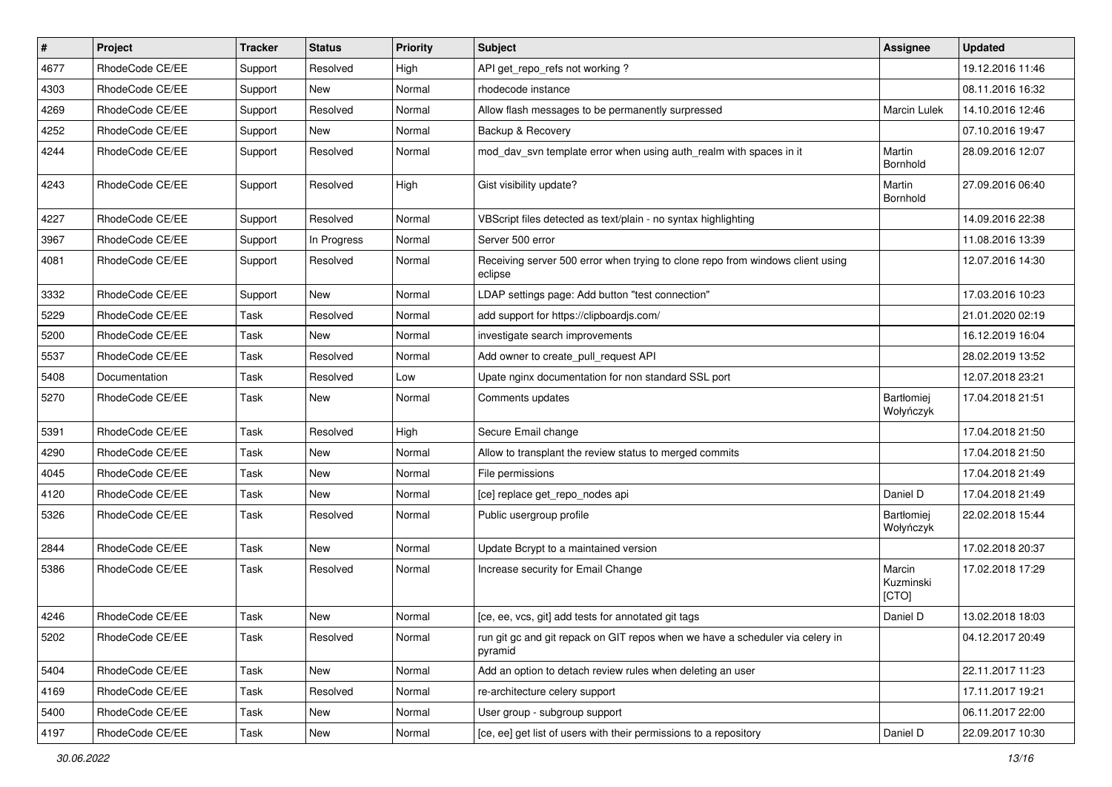| #    | Project         | <b>Tracker</b> | <b>Status</b> | <b>Priority</b> | Subject                                                                                   | <b>Assignee</b>                | <b>Updated</b>   |
|------|-----------------|----------------|---------------|-----------------|-------------------------------------------------------------------------------------------|--------------------------------|------------------|
| 4677 | RhodeCode CE/EE | Support        | Resolved      | High            | API get_repo_refs not working?                                                            |                                | 19.12.2016 11:46 |
| 4303 | RhodeCode CE/EE | Support        | <b>New</b>    | Normal          | rhodecode instance                                                                        |                                | 08.11.2016 16:32 |
| 4269 | RhodeCode CE/EE | Support        | Resolved      | Normal          | Allow flash messages to be permanently surpressed                                         | <b>Marcin Lulek</b>            | 14.10.2016 12:46 |
| 4252 | RhodeCode CE/EE | Support        | New           | Normal          | Backup & Recovery                                                                         |                                | 07.10.2016 19:47 |
| 4244 | RhodeCode CE/EE | Support        | Resolved      | Normal          | mod day syn template error when using auth realm with spaces in it                        | Martin<br>Bornhold             | 28.09.2016 12:07 |
| 4243 | RhodeCode CE/EE | Support        | Resolved      | High            | Gist visibility update?                                                                   | Martin<br>Bornhold             | 27.09.2016 06:40 |
| 4227 | RhodeCode CE/EE | Support        | Resolved      | Normal          | VBScript files detected as text/plain - no syntax highlighting                            |                                | 14.09.2016 22:38 |
| 3967 | RhodeCode CE/EE | Support        | In Progress   | Normal          | Server 500 error                                                                          |                                | 11.08.2016 13:39 |
| 4081 | RhodeCode CE/EE | Support        | Resolved      | Normal          | Receiving server 500 error when trying to clone repo from windows client using<br>eclipse |                                | 12.07.2016 14:30 |
| 3332 | RhodeCode CE/EE | Support        | New           | Normal          | LDAP settings page: Add button "test connection"                                          |                                | 17.03.2016 10:23 |
| 5229 | RhodeCode CE/EE | Task           | Resolved      | Normal          | add support for https://clipboardjs.com/                                                  |                                | 21.01.2020 02:19 |
| 5200 | RhodeCode CE/EE | Task           | <b>New</b>    | Normal          | investigate search improvements                                                           |                                | 16.12.2019 16:04 |
| 5537 | RhodeCode CE/EE | Task           | Resolved      | Normal          | Add owner to create_pull_request API                                                      |                                | 28.02.2019 13:52 |
| 5408 | Documentation   | Task           | Resolved      | Low             | Upate nginx documentation for non standard SSL port                                       |                                | 12.07.2018 23:21 |
| 5270 | RhodeCode CE/EE | Task           | New           | Normal          | Comments updates                                                                          | <b>Bartłomiej</b><br>Wołyńczyk | 17.04.2018 21:51 |
| 5391 | RhodeCode CE/EE | Task           | Resolved      | High            | Secure Email change                                                                       |                                | 17.04.2018 21:50 |
| 4290 | RhodeCode CE/EE | Task           | <b>New</b>    | Normal          | Allow to transplant the review status to merged commits                                   |                                | 17.04.2018 21:50 |
| 4045 | RhodeCode CE/EE | Task           | New           | Normal          | File permissions                                                                          |                                | 17.04.2018 21:49 |
| 4120 | RhodeCode CE/EE | Task           | <b>New</b>    | Normal          | [ce] replace get_repo_nodes api                                                           | Daniel D                       | 17.04.2018 21:49 |
| 5326 | RhodeCode CE/EE | Task           | Resolved      | Normal          | Public usergroup profile                                                                  | Bartłomiej<br>Wołyńczyk        | 22.02.2018 15:44 |
| 2844 | RhodeCode CE/EE | Task           | New           | Normal          | Update Bcrypt to a maintained version                                                     |                                | 17.02.2018 20:37 |
| 5386 | RhodeCode CE/EE | Task           | Resolved      | Normal          | Increase security for Email Change                                                        | Marcin<br>Kuzminski<br>[CTO]   | 17.02.2018 17:29 |
| 4246 | RhodeCode CE/EE | Task           | New           | Normal          | [ce, ee, vcs, git] add tests for annotated git tags                                       | Daniel D                       | 13.02.2018 18:03 |
| 5202 | RhodeCode CE/EE | Task           | Resolved      | Normal          | run git gc and git repack on GIT repos when we have a scheduler via celery in<br>pyramid  |                                | 04.12.2017 20:49 |
| 5404 | RhodeCode CE/EE | Task           | New           | Normal          | Add an option to detach review rules when deleting an user                                |                                | 22.11.2017 11:23 |
| 4169 | RhodeCode CE/EE | Task           | Resolved      | Normal          | re-architecture celery support                                                            |                                | 17.11.2017 19:21 |
| 5400 | RhodeCode CE/EE | Task           | New           | Normal          | User group - subgroup support                                                             |                                | 06.11.2017 22:00 |
| 4197 | RhodeCode CE/EE | Task           | New           | Normal          | [ce, ee] get list of users with their permissions to a repository                         | Daniel D                       | 22.09.2017 10:30 |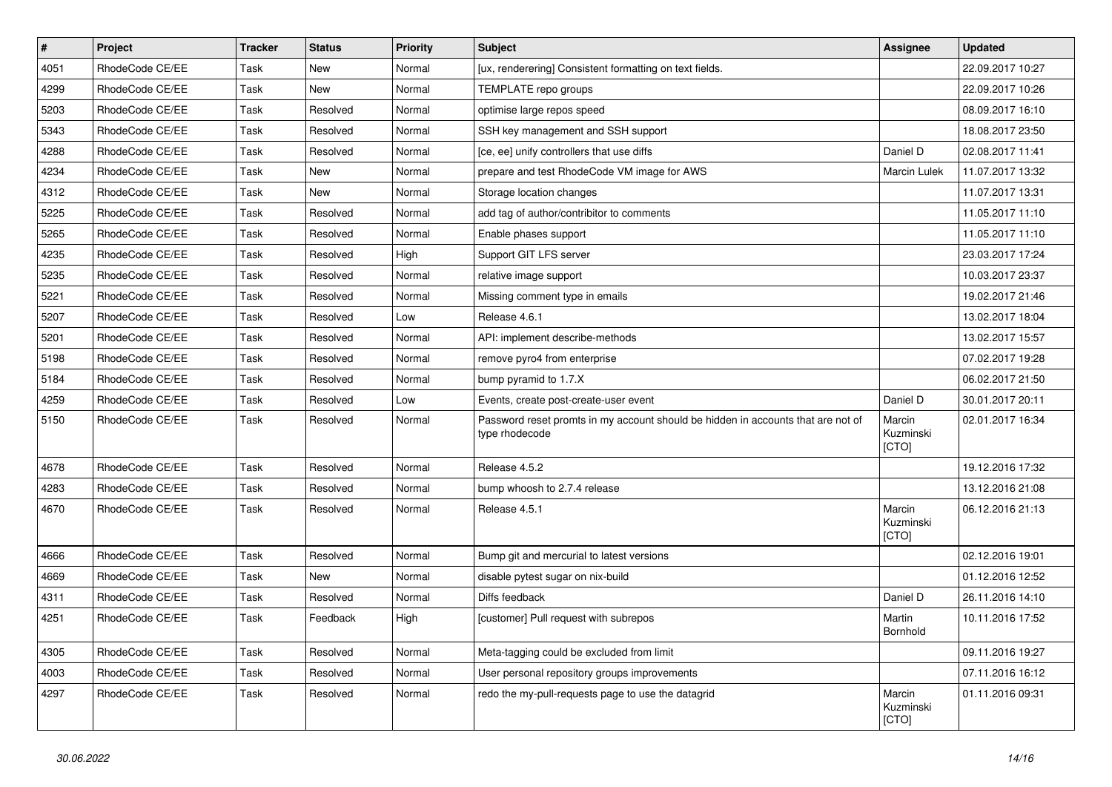| $\pmb{\#}$ | Project         | <b>Tracker</b> | <b>Status</b> | <b>Priority</b> | <b>Subject</b>                                                                                     | Assignee                     | <b>Updated</b>   |
|------------|-----------------|----------------|---------------|-----------------|----------------------------------------------------------------------------------------------------|------------------------------|------------------|
| 4051       | RhodeCode CE/EE | Task           | New           | Normal          | [ux, renderering] Consistent formatting on text fields.                                            |                              | 22.09.2017 10:27 |
| 4299       | RhodeCode CE/EE | Task           | <b>New</b>    | Normal          | TEMPLATE repo groups                                                                               |                              | 22.09.2017 10:26 |
| 5203       | RhodeCode CE/EE | Task           | Resolved      | Normal          | optimise large repos speed                                                                         |                              | 08.09.2017 16:10 |
| 5343       | RhodeCode CE/EE | Task           | Resolved      | Normal          | SSH key management and SSH support                                                                 |                              | 18.08.2017 23:50 |
| 4288       | RhodeCode CE/EE | Task           | Resolved      | Normal          | [ce, ee] unify controllers that use diffs                                                          | Daniel D                     | 02.08.2017 11:41 |
| 4234       | RhodeCode CE/EE | Task           | New           | Normal          | prepare and test RhodeCode VM image for AWS                                                        | Marcin Lulek                 | 11.07.2017 13:32 |
| 4312       | RhodeCode CE/EE | Task           | <b>New</b>    | Normal          | Storage location changes                                                                           |                              | 11.07.2017 13:31 |
| 5225       | RhodeCode CE/EE | Task           | Resolved      | Normal          | add tag of author/contribitor to comments                                                          |                              | 11.05.2017 11:10 |
| 5265       | RhodeCode CE/EE | Task           | Resolved      | Normal          | Enable phases support                                                                              |                              | 11.05.2017 11:10 |
| 4235       | RhodeCode CE/EE | Task           | Resolved      | High            | Support GIT LFS server                                                                             |                              | 23.03.2017 17:24 |
| 5235       | RhodeCode CE/EE | Task           | Resolved      | Normal          | relative image support                                                                             |                              | 10.03.2017 23:37 |
| 5221       | RhodeCode CE/EE | Task           | Resolved      | Normal          | Missing comment type in emails                                                                     |                              | 19.02.2017 21:46 |
| 5207       | RhodeCode CE/EE | Task           | Resolved      | Low             | Release 4.6.1                                                                                      |                              | 13.02.2017 18:04 |
| 5201       | RhodeCode CE/EE | Task           | Resolved      | Normal          | API: implement describe-methods                                                                    |                              | 13.02.2017 15:57 |
| 5198       | RhodeCode CE/EE | Task           | Resolved      | Normal          | remove pyro4 from enterprise                                                                       |                              | 07.02.2017 19:28 |
| 5184       | RhodeCode CE/EE | Task           | Resolved      | Normal          | bump pyramid to 1.7.X                                                                              |                              | 06.02.2017 21:50 |
| 4259       | RhodeCode CE/EE | Task           | Resolved      | Low             | Events, create post-create-user event                                                              | Daniel D                     | 30.01.2017 20:11 |
| 5150       | RhodeCode CE/EE | Task           | Resolved      | Normal          | Password reset promts in my account should be hidden in accounts that are not of<br>type rhodecode | Marcin<br>Kuzminski<br>[CTO] | 02.01.2017 16:34 |
| 4678       | RhodeCode CE/EE | Task           | Resolved      | Normal          | Release 4.5.2                                                                                      |                              | 19.12.2016 17:32 |
| 4283       | RhodeCode CE/EE | Task           | Resolved      | Normal          | bump whoosh to 2.7.4 release                                                                       |                              | 13.12.2016 21:08 |
| 4670       | RhodeCode CE/EE | Task           | Resolved      | Normal          | Release 4.5.1                                                                                      | Marcin<br>Kuzminski<br>[CTO] | 06.12.2016 21:13 |
| 4666       | RhodeCode CE/EE | Task           | Resolved      | Normal          | Bump git and mercurial to latest versions                                                          |                              | 02.12.2016 19:01 |
| 4669       | RhodeCode CE/EE | Task           | <b>New</b>    | Normal          | disable pytest sugar on nix-build                                                                  |                              | 01.12.2016 12:52 |
| 4311       | RhodeCode CE/EE | Task           | Resolved      | Normal          | Diffs feedback                                                                                     | Daniel D                     | 26.11.2016 14:10 |
| 4251       | RhodeCode CE/EE | Task           | Feedback      | High            | [customer] Pull request with subrepos                                                              | Martin<br>Bornhold           | 10.11.2016 17:52 |
| 4305       | RhodeCode CE/EE | Task           | Resolved      | Normal          | Meta-tagging could be excluded from limit                                                          |                              | 09.11.2016 19:27 |
| 4003       | RhodeCode CE/EE | Task           | Resolved      | Normal          | User personal repository groups improvements                                                       |                              | 07.11.2016 16:12 |
| 4297       | RhodeCode CE/EE | Task           | Resolved      | Normal          | redo the my-pull-requests page to use the datagrid                                                 | Marcin<br>Kuzminski<br>[CTO] | 01.11.2016 09:31 |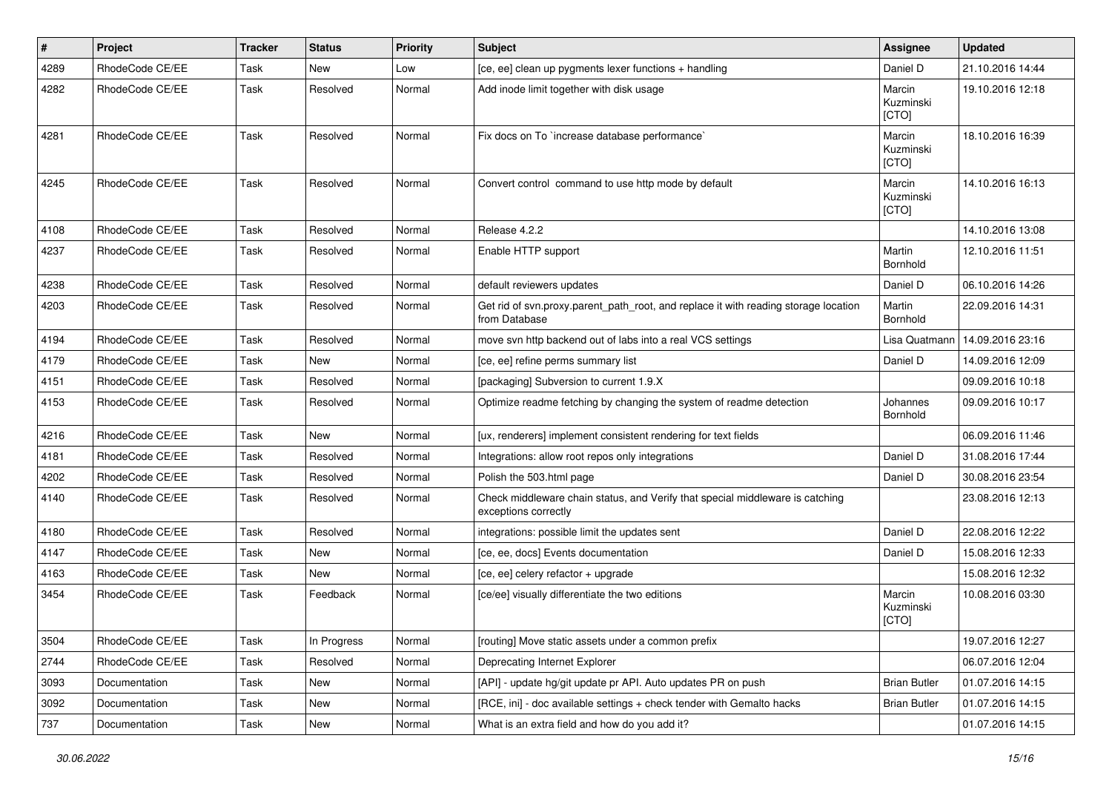| #    | Project         | <b>Tracker</b> | <b>Status</b> | <b>Priority</b> | Subject                                                                                               | Assignee                     | <b>Updated</b>   |
|------|-----------------|----------------|---------------|-----------------|-------------------------------------------------------------------------------------------------------|------------------------------|------------------|
| 4289 | RhodeCode CE/EE | Task           | New           | Low             | [ce, ee] clean up pygments lexer functions + handling                                                 | Daniel D                     | 21.10.2016 14:44 |
| 4282 | RhodeCode CE/EE | Task           | Resolved      | Normal          | Add inode limit together with disk usage                                                              | Marcin<br>Kuzminski<br>[CTO] | 19.10.2016 12:18 |
| 4281 | RhodeCode CE/EE | Task           | Resolved      | Normal          | Fix docs on To `increase database performance`                                                        | Marcin<br>Kuzminski<br>[CTO] | 18.10.2016 16:39 |
| 4245 | RhodeCode CE/EE | Task           | Resolved      | Normal          | Convert control command to use http mode by default                                                   | Marcin<br>Kuzminski<br>[CTO] | 14.10.2016 16:13 |
| 4108 | RhodeCode CE/EE | Task           | Resolved      | Normal          | Release 4.2.2                                                                                         |                              | 14.10.2016 13:08 |
| 4237 | RhodeCode CE/EE | Task           | Resolved      | Normal          | Enable HTTP support                                                                                   | Martin<br>Bornhold           | 12.10.2016 11:51 |
| 4238 | RhodeCode CE/EE | Task           | Resolved      | Normal          | default reviewers updates                                                                             | Daniel D                     | 06.10.2016 14:26 |
| 4203 | RhodeCode CE/EE | Task           | Resolved      | Normal          | Get rid of svn.proxy.parent_path_root, and replace it with reading storage location<br>from Database  | Martin<br>Bornhold           | 22.09.2016 14:31 |
| 4194 | RhodeCode CE/EE | Task           | Resolved      | Normal          | move svn http backend out of labs into a real VCS settings                                            | Lisa Quatmann                | 14.09.2016 23:16 |
| 4179 | RhodeCode CE/EE | Task           | New           | Normal          | [ce, ee] refine perms summary list                                                                    | Daniel D                     | 14.09.2016 12:09 |
| 4151 | RhodeCode CE/EE | Task           | Resolved      | Normal          | [packaging] Subversion to current 1.9.X                                                               |                              | 09.09.2016 10:18 |
| 4153 | RhodeCode CE/EE | Task           | Resolved      | Normal          | Optimize readme fetching by changing the system of readme detection                                   | Johannes<br>Bornhold         | 09.09.2016 10:17 |
| 4216 | RhodeCode CE/EE | Task           | <b>New</b>    | Normal          | [ux, renderers] implement consistent rendering for text fields                                        |                              | 06.09.2016 11:46 |
| 4181 | RhodeCode CE/EE | Task           | Resolved      | Normal          | Integrations: allow root repos only integrations                                                      | Daniel D                     | 31.08.2016 17:44 |
| 4202 | RhodeCode CE/EE | Task           | Resolved      | Normal          | Polish the 503.html page                                                                              | Daniel D                     | 30.08.2016 23:54 |
| 4140 | RhodeCode CE/EE | Task           | Resolved      | Normal          | Check middleware chain status, and Verify that special middleware is catching<br>exceptions correctly |                              | 23.08.2016 12:13 |
| 4180 | RhodeCode CE/EE | Task           | Resolved      | Normal          | integrations: possible limit the updates sent                                                         | Daniel D                     | 22.08.2016 12:22 |
| 4147 | RhodeCode CE/EE | Task           | New           | Normal          | [ce, ee, docs] Events documentation                                                                   | Daniel D                     | 15.08.2016 12:33 |
| 4163 | RhodeCode CE/EE | Task           | New           | Normal          | [ce, ee] celery refactor + upgrade                                                                    |                              | 15.08.2016 12:32 |
| 3454 | RhodeCode CE/EE | Task           | Feedback      | Normal          | [ce/ee] visually differentiate the two editions                                                       | Marcin<br>Kuzminski<br>[CTO] | 10.08.2016 03:30 |
| 3504 | RhodeCode CE/EE | Task           | In Progress   | Normal          | [routing] Move static assets under a common prefix                                                    |                              | 19.07.2016 12:27 |
| 2744 | RhodeCode CE/EE | Task           | Resolved      | Normal          | Deprecating Internet Explorer                                                                         |                              | 06.07.2016 12:04 |
| 3093 | Documentation   | Task           | New           | Normal          | [API] - update hg/git update pr API. Auto updates PR on push                                          | <b>Brian Butler</b>          | 01.07.2016 14:15 |
| 3092 | Documentation   | Task           | New           | Normal          | [RCE, ini] - doc available settings + check tender with Gemalto hacks                                 | <b>Brian Butler</b>          | 01.07.2016 14:15 |
| 737  | Documentation   | Task           | New           | Normal          | What is an extra field and how do you add it?                                                         |                              | 01.07.2016 14:15 |